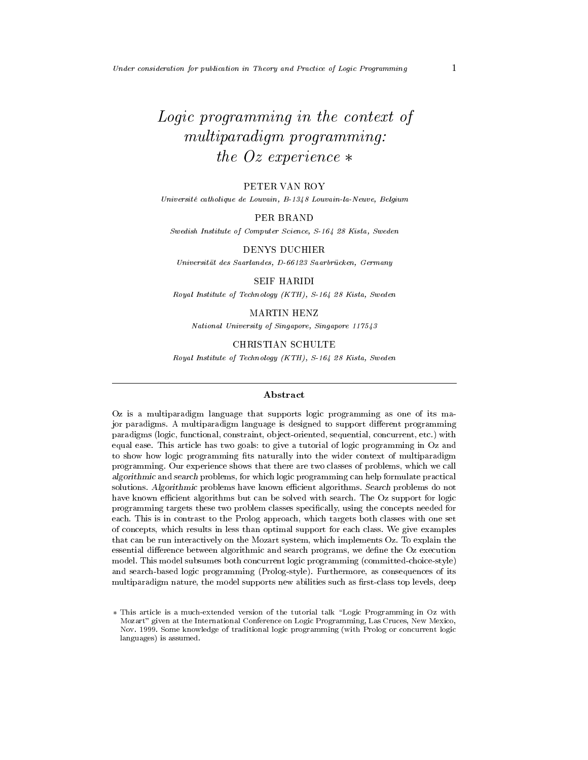# Logic programming in the context of multiparadigm programming: the programming: the programming: the programming: the programming: the programming the Oz experience of the Oz experience of the Oz experience of the Oz experience of the Oz experience of the O

#### PETER VAN ROY

Universite catholique de Louvain, B-1348 Louvain-la-Neuve, Belgium

#### PER BRAND

Swedish Institute of Computer Science, S-164 28 Kista, Sweden

#### DENYS DUCHIER

Universitat des Saarlandes, D-66123 Saarbrucken, Germany

#### SEIF HARIDI

Royal Institute of Technology (KTH), S-164 28 Kista, Sweden

#### MARTIN HENZ

National University of Singapore, Singapore 117543

#### CHRISTIAN SCHULTE

Royal Institute of Technology (KTH), S-164 28 Kista, Sweden

#### Abstract

Oz is a multiparadigm language that supports logic programming as one of its major paradigms. A multiparadigm language is designed to support different programming paradigms (logic, functional, constraint, ob ject-oriented, sequential, concurrent, etc.) with equal ease. This article has two goals: to give a tutorial of logic programming in Oz and to show how logic programming fits naturally into the wider context of multiparadigm programming. Our experience shows that there are two classes of problems, which we call algorithmic and search problems, for which logic programming can help formulate practical solutions. Algorithmic problems have known efficient algorithms. Search problems do not have known efficient algorithms but can be solved with search. The Oz support for logic programming targets these two problem classes specifically, using the concepts needed for each. This is in contrast to the Prolog approach, which targets both classes with one set of concepts, which results in less than optimal support for each class. We give examples that can be run interactively on the Mozart system, which implements Oz. To explain the essential difference between algorithmic and search programs, we define the Oz execution model. This model subsumes both concurrent logic programming (committed-choice-style) and search-based logic programming (Prolog-style). Furthermore, as consequences of its multiparadigm nature, the model supports new abilities such as first-class top levels, deep

<sup>\*</sup> This article is a much-extended version of the tutorial talk "Logic Programming in Oz with Mozart" given at the International Conference on Logic Programming, Las Cruces, New Mexico, Nov. 1999. Some knowledge of traditional logic programming (with Prolog or concurrent logic languages) is assumed.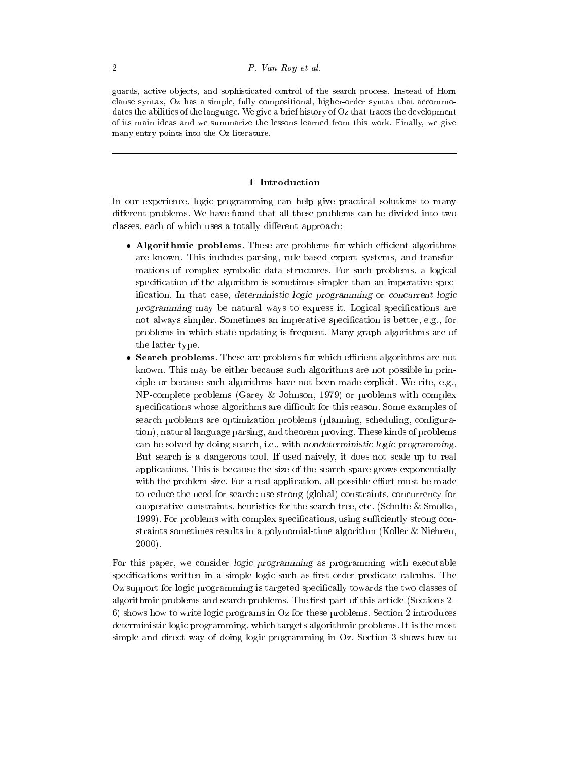guards, active ob jects, and sophisticated control of the search process. Instead of Horn clause syntax, Oz has a simple, fully compositional, higher-order syntax that accommodates the abilities of the language. We give a brief history of Oz that traces the development of its main ideas and we summarize the lessons learned from this work. Finally, we give many entry points into the Oz literature.

#### 1 Introduction

In our experience, logic programming can help give practical solutions to many different problems. We have found that all these problems can be divided into two classes, each of which uses a totally different approach:

- $\bullet$  Algorithmic problems. These are problems for which efficient algorithms are known. This includes parsing, rule-based expert systems, and transformations of complex symbolic data structures. For such problems, a logical specification of the algorithm is sometimes simpler than an imperative specication. In that case, deterministic logic programming or concurrent logic programming may be natural ways to express it. Logical specifications are not always simpler. Sometimes an imperative specification is better, e.g., for problems in which state updating is frequent. Many graph algorithms are of the latter type.
- $\bullet$  Search problems. These are problems for which efficient algorithms are not known. This may be either because such algorithms are not possible in principle or because such algorithms have not been made explicit. We cite, e.g., NP-complete problems (Garey & Johnson, 1979) or problems with complex specifications whose algorithms are difficult for this reason. Some examples of search problems are optimization problems (planning, scheduling, configuration), natural language parsing, and theorem proving. These kinds of problems can be solved by doing search, i.e., with nondeterministic logic programming. But search is a dangerous tool. If used naively, it does not scale up to real applications. This is because the size of the search space grows exponentially with the problem size. For a real application, all possible effort must be made to reduce the need for search: use strong (global) constraints, concurrency for cooperative constraints, heuristics for the search tree, etc. (Schulte & Smolka, 1999). For problems with complex specifications, using sufficiently strong constraints sometimes results in a polynomial-time algorithm (Koller & Niehren, 2000).

For this paper, we consider logic programming as programming with executable specifications written in a simple logic such as first-order predicate calculus. The Oz support for logic programming is targeted specically towards the two classes of algorithmic problems and search problems. The first part of this article (Sections 2– 6) shows how to write logic programs in Oz for these problems. Section 2 introduces deterministic logic programming, which targets algorithmic problems. It is the most simple and direct way of doing logic programming in Oz. Section 3 shows how to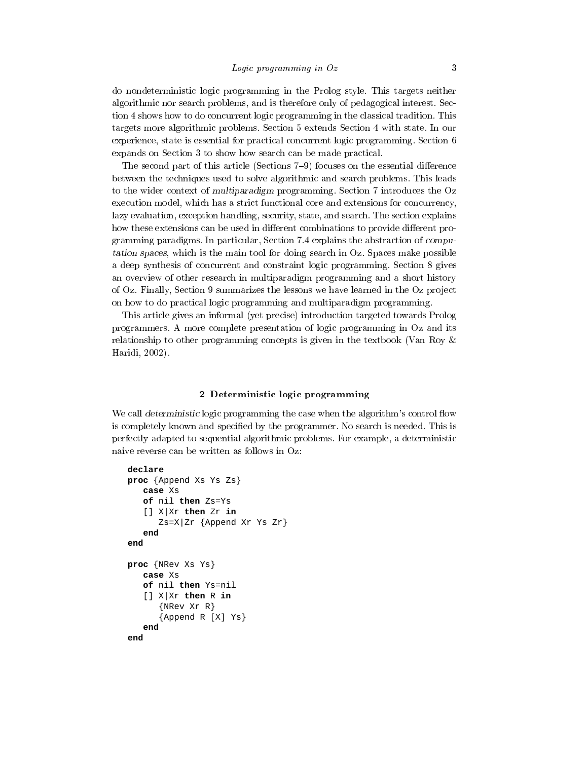do nondeterministic logic programming in the Prolog style. This targets neither algorithmic nor search problems, and is therefore only of pedagogical interest. Section 4 shows how to do concurrent logic programming in the classical tradition. This targets more algorithmic problems. Section 5 extends Section 4 with state. In our experience, state is essential for practical concurrent logic programming. Section 6 expands on Section 3 to show how search can be made practical.

The second part of this article (Sections  $7-9$ ) focuses on the essential difference between the techniques used to solve algorithmic and search problems. This leads to the wider context of multiparadigm programming. Section 7 introduces the Oz execution model, which has a strict functional core and extensions for concurrency, lazy evaluation, exception handling, security, state, and search. The section explains how these extensions can be used in different combinations to provide different programming paradigms. In particular, Section 7.4 explains the abstraction of computation spaces, which is the main tool for doing search in Oz. Spaces make possible a deep synthesis of concurrent and constraint logic programming. Section 8 gives an overview of other research in multiparadigm programming and a short history of Oz. Finally, Section 9 summarizes the lessons we have learned in the Oz project on how to do practical logic programming and multiparadigm programming.

This article gives an informal (yet precise) introduction targeted towards Prolog programmers. A more complete presentation of logic programming in Oz and its relationship to other programming concepts is given in the textbook (Van Roy & Haridi, 2002).

#### 2 Deterministic logic programming

We call deterministic logic programming the case when the algorithm's control flow is completely known and specified by the programmer. No search is needed. This is perfectly adapted to sequential algorithmic problems. For example, a deterministic naive reverse can be written as follows in Oz:

```
declare
proc {Append Xs Ys Zs}
   case Xs
   of nil then Zs=Ys
   [] X|Xr then Zr in
      Zs=X|Zr {Append Xr Ys Zr}
   end
end
proc {NRev Xs Ys}
   case Xs
   of nil then Ys=nil
   [] X|Xr then R in
      {NRev Xr R}
      {Append R [X] Ys}
   end
end
```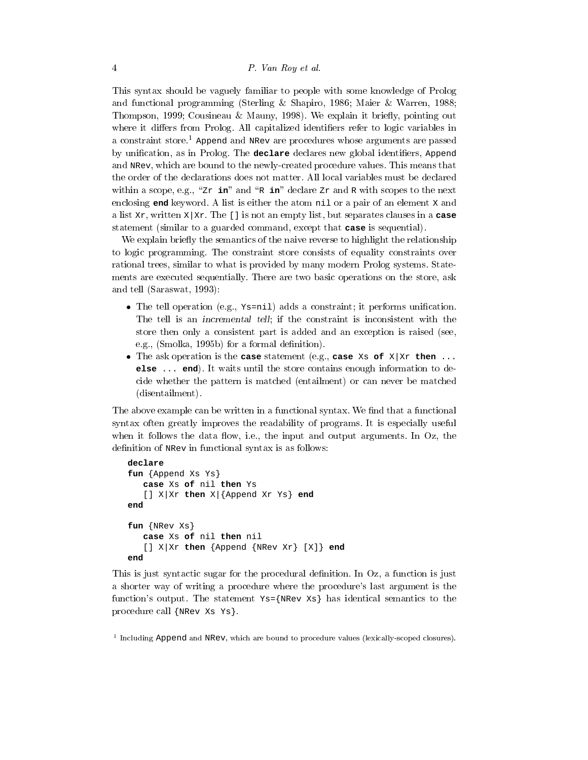This syntax should be vaguely familiar to people with some knowledge of Prolog and functional programming (Sterling & Shapiro, 1986; Maier & Warren, 1988; Thompson, 1999; Cousineau & Mauny, 1998). We explain it briefly, pointing out where it differs from Prolog. All capitalized identifiers refer to logic variables in a constraint store.<sup>1</sup> Append and NRev are procedures whose arguments are passed by unication, as in Prolog. The **declare** declares new global identiers, Append and NRev, which are bound to the newly-created procedure values. This means that the order of the declarations does not matter. All local variables must be declared within a scope, e.g., " $Zr$  in" and " $R$  in" declare  $Zr$  and R with scopes to the next enclosing **end** keyword. A list is either the atom nil or a pair of an element X and a list Xr, written X|Xr. The [] is not an empty list, but separates clauses in a **case** statement (similar to a guarded command, except that **case** is sequential).

We explain briefly the semantics of the naive reverse to highlight the relationship to logic programming. The constraint store consists of equality constraints over rational trees, similar to what is provided by many modern Prolog systems. Statements are executed sequentially. There are two basic operations on the store, ask and tell (Saraswat, 1993):

- The tell operation (e.g., Ys=ni1) adds a constraint; it performs unification. The tell is an incremental tell; if the constraint is inconsistent with the store then only a consistent part is added and an exception is raised (see, e.g.,  $(Smolka, 1995b)$  for a formal definition).
- The ask operation is the **case** statement (e.g., **case**Xs **of** X|Xr **then** ... **else** ... **end**). It waits until the store contains enough information to decide whether the pattern ismatched (entailment) or can never be matched (disentailment).

The above example can be written in a functional syntax. We find that a functional syntax often greatly improves the readability of programs. It is especially useful when it follows the data flow, i.e., the input and output arguments. In  $Oz$ , the definition of NRev in functional syntax is as follows:

```
declare
fun {Append Xs Ys}
   case Xs of nil then Ys
   [] X|Xr then X|{Append Xr Ys} end
end
fun {NRev Xs}
   case Xs of nil then nil
   [] X|Xr then {Append {NRev Xr} [X]} end
end
```
This is just syntactic sugar for the procedural definition. In Oz, a function is just a shorter way of writing a procedure where the procedure's last argument is the function's output. The statement Ys={NRev Xs} has identical semantics to the procedure call {NRev Xs Ys}.

<sup>1</sup> Including Append and NRev, which are bound to procedure values (lexically-scoped closures).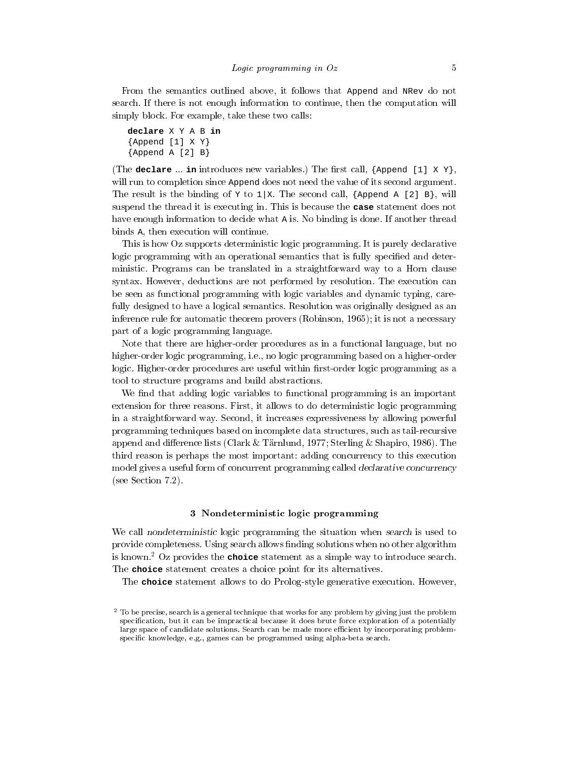From the semantics outlined above, it follows that Append and NRev do not search. If there is not enough information to continue, then the computation will simply block. For example, take these two calls:

```
declare XYAB in
{Append [1] X Y}
{Append A [2] B}
```
(The **declare** ... **in** introduces new variables.) The first call,  $\{Appendi[1] \times Y\}$ , will run to completion since Append does not need the value of its second argument. The result is the binding of  $Y$  to  $1|X$ . The second call, {Append A [2] B}, will suspend the thread it is executing in. This is because the **case** statement does not have enough information to decide what A is. No binding is done. If another thread binds A, then execution will continue.

This is how Oz supports deterministic logic programming. It is purely declarative logic programming with an operational semantics that is fully specified and deterministic. Programs can be translated in a straightforward way to a Horn clause syntax. However, deductions are not performed by resolution. The execution can be seen as functional programming with logic variables and dynamic typing, carefully designed to have a logical semantics. Resolution was originally designed as an inference rule for automatic theorem provers (Robinson, 1965); it is not a necessary part of a logic programming language.

Note that there are higher-order procedures as in a functional language, but no higher-order logic programming, i.e., no logic programming based on a higher-order logic. Higher-order procedures are useful within first-order logic programming as a tool to structure programs and build abstractions.

We find that adding logic variables to functional programming is an important extension for three reasons. First, it allows to do deterministic logic programming in a straightforward way. Second, it increases expressiveness by allowing powerful programming techniques based on incomplete data structures, such as tail-recursive append and difference lists (Clark & Tärnlund, 1977; Sterling & Shapiro, 1986). The third reason is perhaps the most important: adding concurrency to this execution model gives a useful form of concurrent programming called declarative concurrency (see Section 7.2).

#### 3 Nondeterministic logic programming

We call nondeterministic logic programming the situation when search is used to provide completeness. Using search allows finding solutions when no other algorithm is known.2 Oz provides the **choice** statement as a simple way to introduce search. The **choice** statement creates a choice point for its alternatives.

The **choice** statement allows to do Prolog-style generative execution. However,

<sup>2</sup> To be precise, search is a general technique that works for any problem by giving just the problem specification, but it can be impractical because it does brute force exploration of a potentially large space of candidate solutions. Search can be made more efficient by incorporating problemspecific knowledge, e.g., games can be programmed using alpha-beta search.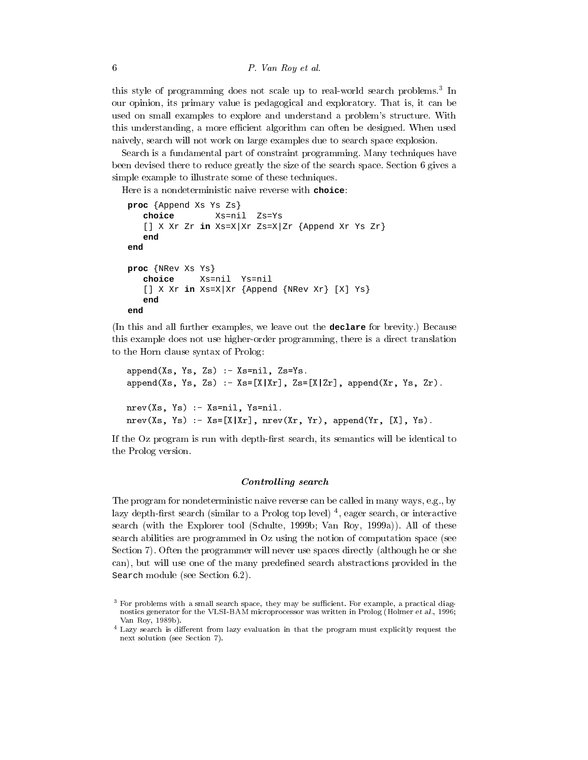6 P. Van Roy et al.

this style of programming does not scale up to real-world search problems.3 In our opinion, its primary value is pedagogical and exploratory. That is, it can be used on small examples to explore and understand a problem's structure. With this understanding, a more efficient algorithm can often be designed. When used naively, search will not work on large examples due to search space explosion.

Search is a fundamental part of constraint programming. Many techniques have been devised there to reduce greatly the size of the search space. Section 6 gives a simple example to illustrate some of these techniques.

Here is a nondeterministic naive reverse with **choice**:

```
proc {Append Xs Ys Zs}
  choice Xs=nil Zs=Ys
  [] X Xr Zr in Xs=X|Xr Zs=X|Zr {Append Xr Ys Zr}
  end
end
proc {NRev Xs Ys}
  choice Xs=nil Ys=nil
  [] X Xr in Xs=X|Xr {Append {NRev Xr} [X] Ys}
  end
end
```
(In this and all further examples, we leave out the **declare** for brevity.) Because this example does not use higher-order programming, there is a direct translation to the Horn clause syntax of Prolog:

```
appendix is the first of \mathcal{S} is the \mathcal{S} - \mathcal{S} is the \mathcal{S}append(Xxx) :- Xi, Za) :- Xxx, Qarjang, Zse, Qarjang, Xry, Ys, Ys, Xr, Zr). Zang. Za
nrev(1191, 1999) :- 1194. 1194. 1194. 1194. 1194. 1194. 1195. 1196. 1197. 1197. 1197. 1197. 1197. 1197. 1197.
```
If the Oz program is run with depth-first search, its semantics will be identical to the Prolog version.

nrev(Xs, Ys) :- Xs=[X|Xr], nrev(Xr, Yr), append(Yr, [X], Ys).

#### Controlling search

The program for nondeterministic naive reverse can be called in many ways, e.g., by lazy depth-rst search (similar to a Prolog top level) <sup>4</sup> , eager search, or interactive search (with the Explorer tool (Schulte, 1999b; Van Roy, 1999a)). All of these search abilities are programmed in Oz using the notion of computation space (see Section 7). Often the programmer will never use spaces directly (although he or she can), but will use one of the many predefined search abstractions provided in the Search module (see Section 6.2).

<sup>3</sup> For problems with a small search space, they may be sucient. For example, a practical diagnostics generator for the VLSI-BAM microprocessor was written in Prolog (Holmer et al., 1996; Van Roy, 1989b).

 $\,$  - Lazy search is different from lazy evaluation in that the program must explicitly request the  $\,$ next solution (see Section 7).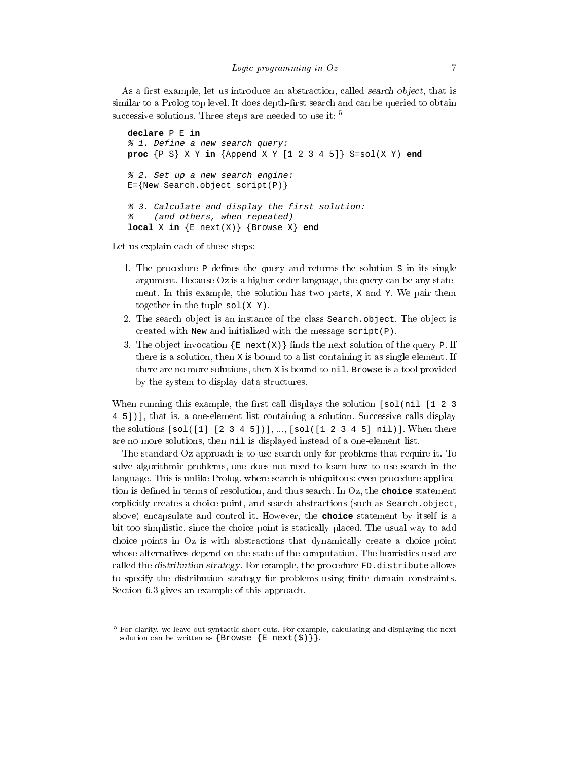As a first example, let us introduce an abstraction, called search object, that is similar to a Prolog top level. It does depth-first search and can be queried to obtain successive solutions. Three steps are needed to use it: <sup>5</sup>

```
declare P E in
% 1. Define a new search query:
proc {P S} X Y in {Append X Y [1 2 3 4 5]} S=sol(X Y) end
% 2. Set up a new search engine:
E = \{New Search.object script(P)\}% 3. Calculate and display the first solution:
% (and others, when repeated)
local X in {E next(X)} {Browse X} end
```
Let us explain each of these steps:

- 1. The procedure  $\bar{P}$  defines the query and returns the solution  $\bar{S}$  in its single argument. Because Oz is a higher-order language, the query can be any statement. In this example, the solution has two parts, X and Y. We pair them together in the tuple sol(X Y).
- 2. The search object is an instance of the class Search.object. The object is created with New and initialized with the message script(P).
- 3. The object invocation  $\{E \text{ next}(X)\}\$  finds the next solution of the query P. If there is a solution, then X is bound to a list containing it as single element. If there are no more solutions, then X is bound to nil. Browse is a tool provided by the system to display data structures.

When running this example, the first call displays the solution  $[sol(ni1 1 2 3$ 4 5])], that is, a one-element list containing a solution. Successive calls display the solutions  $[sol([1] [2 3 4 5]); \dots, [sol([1 2 3 4 5] nil)].$  When there are no more solutions, then nil is displayed instead of a one-element list.

The standard Oz approach is to use search only for problems that require it. To solve algorithmic problems, one does not need to learn how to use search in the language. This is unlike Prolog, where search is ubiquitous: even procedure application is defined in terms of resolution, and thus search. In Oz, the **choice** statement explicitly creates a choice point, and search abstractions (such as Search.object, above) encapsulate and control it. However, the **choice** statement by itself is <sup>a</sup> bit too simplistic, since the choice point is statically placed. The usual way to add choice points in Oz is with abstractions that dynamically create a choice point whose alternatives depend on the state of the computation. The heuristics used are called the distribution strategy. For example, the procedure FD.distribute allows to specify the distribution strategy for problems using finite domain constraints. Section 6.3 gives an example of this approach.

<sup>5</sup> For clarity, we leave out syntactic short-cuts. For example, calculating and displaying the next solution can be written as  $\{Brows\}$ .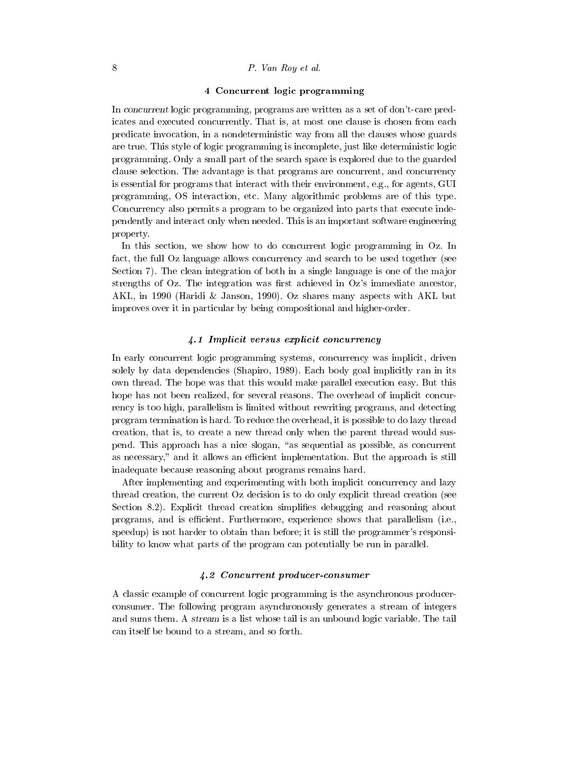### 4 Concurrent logic programming

In concurrent logic programming, programs are written as a set of don't-care predicates and executed concurrently. That is, at most one clause is chosen from each predicate invocation, in a nondeterministic way from all the clauses whose guards are true. This style of logic programming is incomplete, just like deterministic logic programming. Only a small part of the search space is explored due to the guarded clause selection. The advantage is that programs are concurrent, and concurrency is essential for programs that interact with their environment, e.g., for agents, GUI programming, OS interaction, etc. Many algorithmic problems are of this type. Concurrency also permits a program to be organized into parts that execute independently and interact only when needed. This is an important software engineering property.

In this section, we show how to do concurrent logic programming in Oz.In fact, the full Oz language allows concurrency and search to be used together (see  $S$  . The clean integration of  $S$  is one of the main  $S$  single is one of the main  $S$  is one of the main  $S$ strengths of  $Oz$ . The integration was first achieved in  $Oz$ 's immediate ancestor, AKL, in 1990 (Haridi & Janson, 1990). Oz shares many aspects with AKL but improves over it in particular by being compositional and higher-order.

#### 4.1 Implicit versus explicit concurrency

In early concurrent logic programming systems, concurrency was implicit, driven solely by data dependencies (Shapiro, 1989). Each body goal implicitly ran in its own thread. The hope was that this would make parallel execution easy. But this hope has not been realized, for several reasons. The overhead of implicit concurrency is too high, parallelism is limited without rewriting programs, and detecting program termination is hard. To reduce the overhead, it is possible to do lazy thread creation, that is, to create a new thread only when the parent thread would suspend. This approach has a nice slogan, "as sequential as possible, as concurrent as necessary," and it allows an efficient implementation. But the approach is still inadequate because reasoning about programs remains hard.

After implementing and experimenting with both implicit concurrency and lazy thread creation, the current Oz decision is to do only explicit thread creation (see Section 8.2). Explicit thread creation simplifies debugging and reasoning about programs, and is efficient. Furthermore, experience shows that parallelism (i.e., speedup) is not harder to obtain than before; it is still the programmer's responsibility to know what parts of the program can potentially be run in parallel.

# 4.2 Concurrent producer-consumer

A classic example of concurrent logic programming is the asynchronous producerconsumer. The following program asynchronously generates a stream of integers and sums them. A stream is a list whose tail is an unbound logic variable. The tail can itself be bound to a stream, and so forth.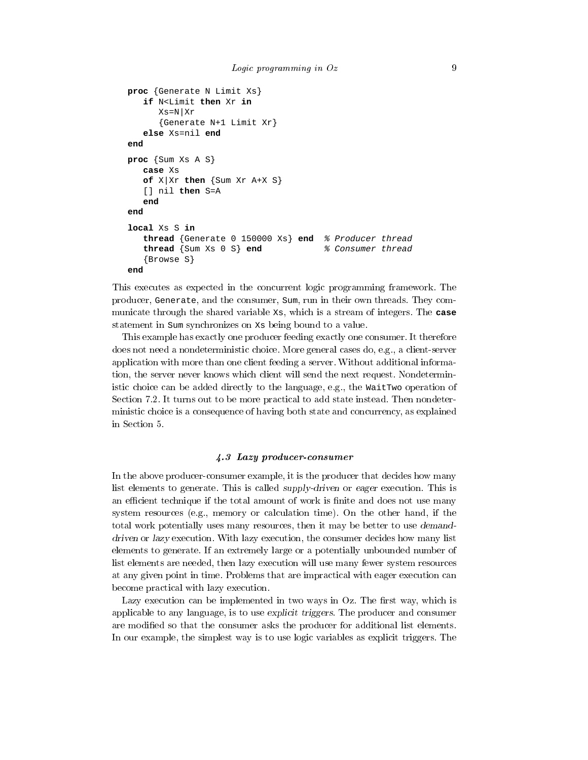```
proc {Generate N Limit Xs}
   if N<Limit then Xr in
     Xs=N|Xr
      {Generate N+1 Limit Xr}
   else Xs=nil end
end
proc {Sum Xs A S}
  case Xs
   of X|Xr then {Sum Xr A+X S}
   [] nil then S=A
   end
end
local Xs S in
   thread {Generate 0 150000 Xs} end % Producer thread
   thread {Sum Xs 0 S} end % Consumer thread
   {Browse S}
end
```
This executes as expected in the concurrent logic programming framework. The producer, Generate, and the consumer, Sum, run in their own threads. They com municate through the shared variable Xs, which is a stream of integers. The **case** statement in Sum synchronizes on Xs being bound to a value.

This example has exactly one producer feeding exactly one consumer. It therefore does not need a nondeterministic choice. More general cases do, e.g., a client-server application with more than one client feeding a server. Without additional information, the server never knows which client will send the next request. Nondeterministic choice can be added directly to the language, e.g., the WaitTwo operation of Section 7.2. It turns out to be more practical to add state instead. Then nondeterministic choice is a consequence of having both state and concurrency, as explained

### 4.3 Lazy producer-consumer

In the above producer-consumer example, it is the producer that decides how many list elements to generate. This is called supply-driven or eager execution. This is an efficient technique if the total amount of work is finite and does not use many system resources (e.g., memory or calculation time). On the other hand, if the total work potentially uses many resources, then it may be better to use demanddriven or lazy execution. With lazy execution, the consumer decides how many list elements to generate. If an extremely large or a potentially unbounded number of list elements are needed, then lazy execution will use many fewer system resources at any given point in time. Problems that are impractical with eager execution can become practical with lazy execution.

Lazy execution can be implemented in two ways in  $Oz$ . The first way, which is applicable to any language, is to use explicit triggers. The producer and consumer are modied so that the consumer asks the producer for additional list elements. In our example, the simplest way is to use logic variables as explicit triggers. The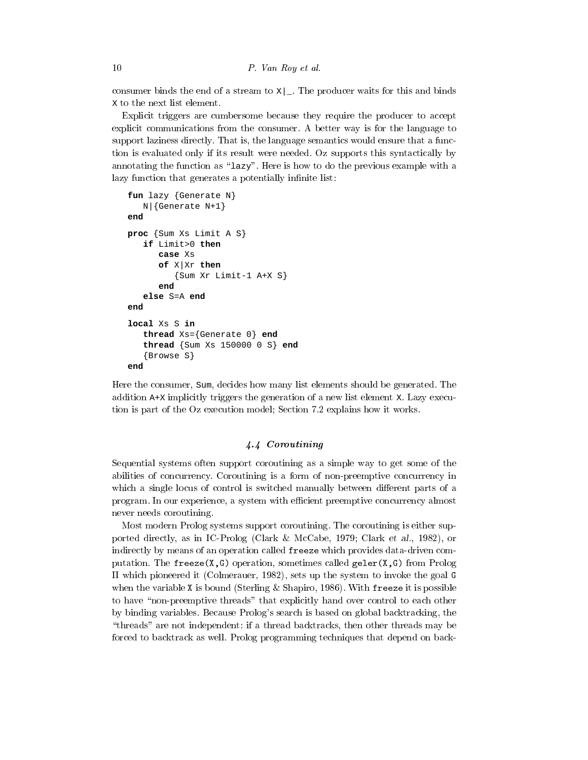consumer binds the end of a stream to  $x$ . The producer waits for this and binds X to the next list element.

Explicit triggers are cumbersome because they require the producer to accept explicit communications from the consumer. A better way is for the language to support laziness directly. That is, the language semantics would ensure that a function is evaluated only if its result were needed. Oz supports this syntactically by annotating the function as " $l$ azy". Here is how to do the previous example with a lazy function that generates a potentially infinite list:

```
fun lazy {Generate N}
   N|{Generate N+1}
end
proc {Sum Xs Limit A S}
   if Limit>0 then
      case Xs
      of X|Xr then
         \{Sum Xr Limit-1 A+X S\}end
   else S=A end
end
local Xs S in
   thread Xs={Generate 0} end
   thread {Sum Xs 150000 0 S} end
   {Browse S}
end
```
Here the consumer, Sum, decides how many list elements should be generated. The addition A+X implicitly triggers the generation of a new list element X. Lazy execution is part of the Oz execution model; Section 7.2 explains how it works.

# 4.4 Coroutining

Sequential systems often support coroutining as a simple way to get some of the abilities of concurrency. Coroutining is a form of non-preemptive concurrency in which a single locus of control is switched manually between different parts of a program. In our experience, a system with efficient preemptive concurrency almost never needs coroutining.

Most modern Prolog systems support coroutining. The coroutining is either supported directly, as in IC-Prolog (Clark & McCabe, 1979; Clark et al., 1982), or indirectly by means of an operation called freeze which provides data-driven computation. The freeze( $X, G$ ) operation, sometimes called geler( $X, G$ ) from Prolog II which pioneered it (Colmerauer, 1982), sets up the system to invoke the goal <sup>G</sup> when the variable X is bound (Sterling & Shapiro, 1986). With freeze it is possible to have "non-preemptive threads" that explicitly hand over control to each other by binding variables. Because Prolog's search is based on global backtracking, the \threads" are not independent: if a thread backtracks, then other threads may be forced to backtrack as well. Prolog programming techniques that depend on back-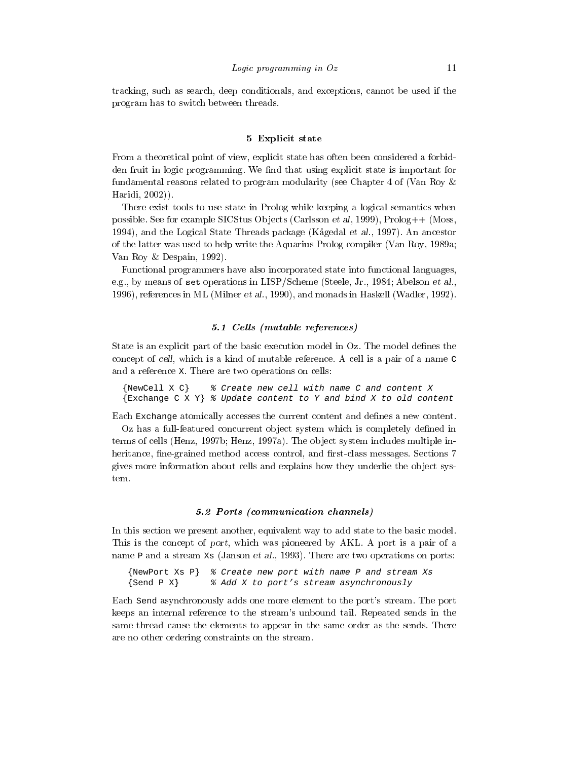tracking, such as search, deep conditionals, and exceptions, cannot be used if the program has to switch between threads.

#### 5 Explicit state

From a theoretical point of view, explicit state has often been considered a forbidden fruit in logic programming. We find that using explicit state is important for fundamental reasons related to program modularity (see Chapter 4 of (Van Roy & Haridi, 2002)).

There exist tools to use state in Prolog while keeping a logical semantics when possible. See for example SICStus Objects (Carlsson et al, 1999), Prolog $++$  (Moss, 1994), and the Logical State Threads package (Kagedal et al., 1997). An ancestor of the latter was used to help write the Aquarius Prolog compiler (Van Roy, 1989a; Van Roy & Despain, 1992).

Functional programmers have also incorporated state into functional languages, e.g., by means of set operations in LISP/Scheme (Steele, Jr., 1984; Abelson et al., 1996), references in ML (Milner et al., 1990), and monads in Haskell (Wadler, 1992).

# 5.1 Cells (mutable references)

State is an explicit part of the basic execution model in Oz. The model defines the concept of cell, which is a kind of mutable reference. A cell is a pair of a name C and a reference X. There are two operations on cells:

```
{NewCell X C} % Create new cell with name C and content X
{Exchange C X Y} % Update content to Y and bind X to old content
```
Each Exchange atomically accesses the current content and defines a new content.

Oz has a full-featured concurrent object system which is completely defined in terms of cells (Henz, 1997b; Henz, 1997a). The ob ject system includes multiple inheritance, fine-grained method access control, and first-class messages. Sections 7 gives more information about cells and explains how they underlie the ob ject system.

# 5.2 Ports (communication channels)

In this section we present another, equivalent way to add state to the basic model. This is the concept of port, which was pioneered by AKL. A port is a pair of a name P and a stream Xs (Janson *et al.*, 1993). There are two operations on ports:

{NewPort Xs P} % Create new port with name <sup>P</sup> and stream Xs {Send P X} % Add <sup>X</sup> to port's stream asynchronously

Each Send asynchronously adds one more element to the port's stream. The port keeps an internal reference to the stream's unbound tail. Repeated sends in the same thread cause the elements to appear in the same order as the sends. There are no other ordering constraints on the stream.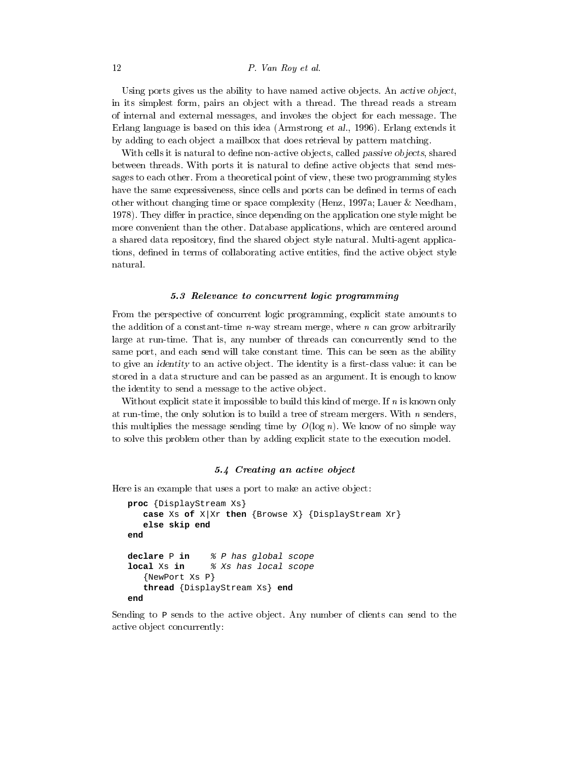#### 12 P. Van Roy et al.

Using ports gives us the ability to have named active objects. An active object, in its simplest form, pairs an ob ject with a thread. The thread reads a stream of internal and external messages, and invokes the ob ject for each message. The Erlang language is based on this idea (Armstrong et al., 1996). Erlang extends it by adding to each ob ject a mailbox that does retrieval by pattern matching.

With cells it is natural to define non-active objects, called passive objects, shared between threads. With ports it is natural to define active objects that send messages to each other. From a theoretical point of view, these two programming styles have the same expressiveness, since cells and ports can be defined in terms of each other without changing time or space complexity (Henz, 1997a; Lauer & Needham, 1978). They differ in practice, since depending on the application one style might be more convenient than the other. Database applications, which are centered around a shared data repository, find the shared object style natural. Multi-agent applications, defined in terms of collaborating active entities, find the active object style natural.

#### 5.3 Relevance to concurrent logic programming

From the perspective of concurrent logic programming, explicit state amounts to the addition of a constant-time  $n$ -way stream merge, where  $n$  can grow arbitrarily large at run-time. That is, any number of threads can concurrently send to the same port, and each send will take constant time. This can be seen as the ability to give an *identity* to an active object. The identity is a first-class value: it can be stored in a data structure and can be passed as an argument. It is enough to know the identity to send a message to the active ob ject.

Without explicit state it impossible to build this kind of merge. If  $n$  is known only at run-time, the only solution is to build a tree of stream mergers. With  $n$  senders, this multiplies the message sending time by  $O(\log n)$ . We know of no simple way to solve this problem other than by adding explicit state to the execution model.

# 5.4 Creating an active object

Here is an example that uses a port to make an active ob ject:

```
proc {DisplayStream Xs}
  case Xs of X|Xr then {Browse X} {DisplayStream Xr}
  else skip end
end
declare P in % P has global scope
local Xs in % Xs has local scope
   {NewPort Xs P}
  thread {DisplayStream Xs} end
end
```
Sending to P sends to the active object. Any number of clients can send to the active ob ject concurrently: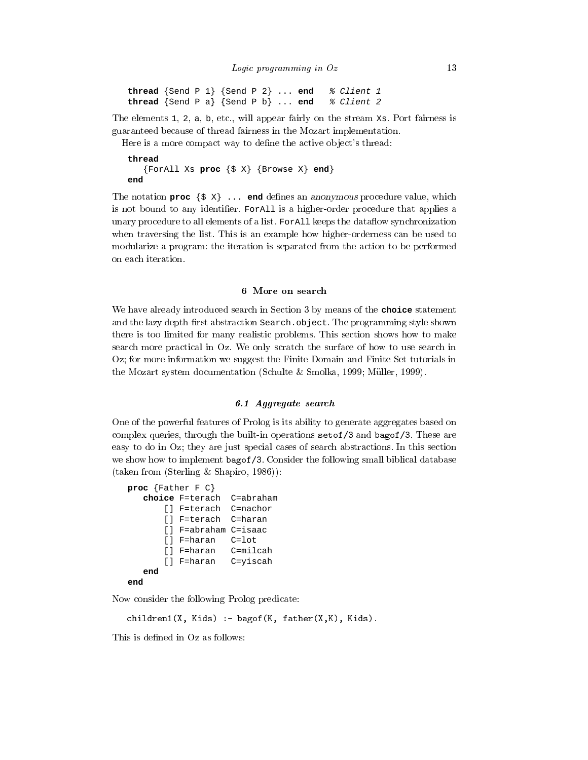| thread $\{Send P 1\}$ $\{Send P 2\}$ end $% Client 1$ |  |  |  |  |  |  |
|-------------------------------------------------------|--|--|--|--|--|--|
| thread $\{Send P a\}$ $\{Send P b\}$ end $% Client 2$ |  |  |  |  |  |  |

The elements 1, 2, a, b, etc., will appear fairly on the stream Xs. Port fairness is guaranteed because of thread fairness in the Mozart implementation.

Here is a more compact way to define the active object's thread:

**thread** {ForAll Xs **proc** {\$ X} {Browse X} **end**} **end**

The notation **proc**  $\{ \infty \}$ ... **end** defines an anonymous procedure value, which is not bound to any identifier. ForAll is a higher-order procedure that applies a unary procedure to all elements of a list. For All keeps the dataflow synchronization when traversing the list. This is an example how higher-orderness can be used to modularize a program: the iteration is separated from the action to be performed on each iteration.

We have already introduced search in Section 3 by means of the **choice** statement and the lazy depth-first abstraction Search.object. The programming style shown there is too limited for many realistic problems. This section shows how to make search more practical in Oz. We only scratch the surface of how to use search in Oz; for more information we suggest the Finite Domain and Finite Set tutorials in the Mozart system documentation (Schulte & Smolka, 1999; Muller, 1999).

# 6.1 Aggregate search

One of the powerful features of Prolog is its ability to generate aggregates based on complex queries, through the built-in operations setof/3 and bagof/3. These are easy to do in Oz; they are just special cases of search abstractions. In this section we show how to implement bagof/3. Consider the following small biblical database (taken from (Sterling & Shapiro, 1986)):

```
proc {Father F C}
   choice F=terach C=abraham
      [] F=terach C=nachor
      [] F=terach C=haran
      [] F=abraham C=isaac
      [] F=haran C=lot
      [] F=haran C=milcah
       [] F=haran C=yiscah
   end
```

```
end
```
Now consider the following Prolog predicate:

children the children is the control of the control of the control of the control of the control of the control of the control of the control of the control of the control of the control of the control of the control of th

This is defined in Oz as follows: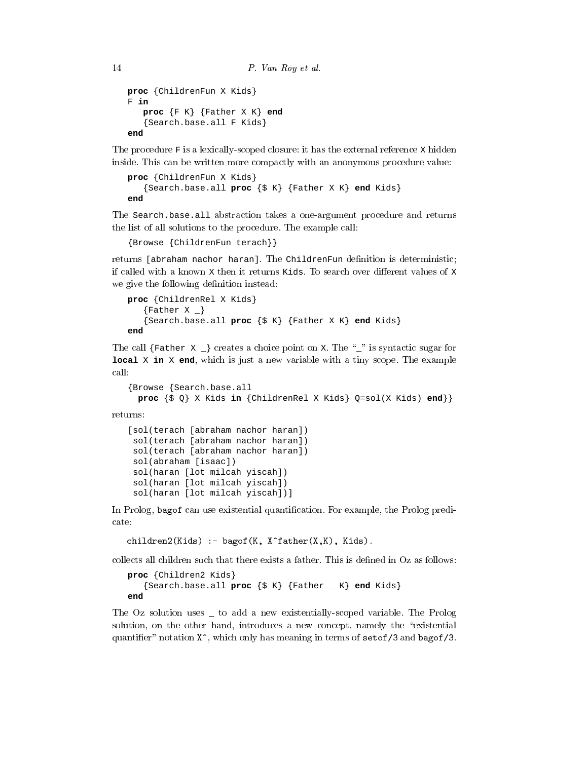```
14 P. Van Roy et al.
  proc {ChildrenFun X Kids}
  F in
     proc {F K} {Father X K} end
     {Search.base.all F Kids}
  end
```
The procedure F is a lexically-scoped closure: it has the external reference X hidden inside. This can be written more compactly with an anonymous procedure value:

```
proc {ChildrenFun X Kids}
   {Search.base.all proc {$ K} {Father X K} end Kids}
end
```
The Search.base.all abstraction takes a one-argument procedure and returns the list of all solutions to the procedure. The example call:

```
{Browse {ChildrenFun terach}}
```
returns [abraham nachor haran]. The ChildrenFun definition is deterministic; if called with a known  $x$  then it returns Kids. To search over different values of  $x$ we give the following definition instead:

```
proc {ChildrenRel X Kids}
   {Father X _ }{Search.base.all proc {$ K} {Father X K} end Kids}
end
```
The call {Father  $X \subseteq \}$  creates a choice point on X. The "\_" is syntactic sugar for **local** X **in** X **end**, which is just a new variable with a tiny scope. The example

```
{Browse {Search.base.all
 proc {$ Q} X Kids in {ChildrenRel X Kids} Q=sol(X Kids) end}}
```
returns:

```
[sol(terach [abraham nachor haran])
sol(terach [abraham nachor haran])
sol(terach [abraham nachor haran])
sol(abraham [isaac])
sol(haran [lot milcah yiscah])
sol(haran [lot milcah yiscah])
sol(haran [lot milcah yiscah])]
```
In Prolog, bagof can use existential quantification. For example, the Prolog predi-

children2(Kids) :- bagof(K, X^father(X,K), Kids).

collects all children such that there exists a father. This is defined in Oz as follows:

```
proc {Children2 Kids}
   {Search.base.all proc {$ K} {Father _ K} end Kids}
end
```
The Oz solution uses \_ to add a new existentially-scoped variable. The Prolog solution, on the other hand, introduces a new concept, namely the "existential quantifier" notation  $X^*$ , which only has meaning in terms of setof/3 and bagof/3.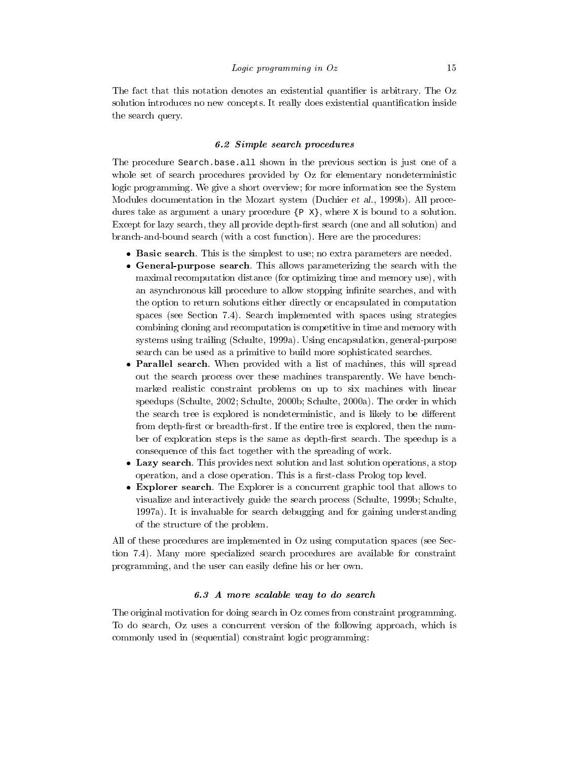The fact that this notation denotes an existential quantifier is arbitrary. The Oz solution introduces no new concepts. It really does existential quantification inside the search query.

#### 6.2 Simple search procedures

The procedure Search.base.all shown in the previous section is just one of a whole set of search procedures provided by Oz for elementary nondeterministic logic programming. We give a short overview; for more information see the System Modules documentation in the Mozart system (Duchier et al., 1999b). All procedures take as argument a unary procedure  $\{P \times\}$ , where X is bound to a solution. Except for lazy search, they all provide depth-first search (one and all solution) and branch-and-bound search (with a cost function). Here are the procedures:

- $\bullet$  Basic search. This is the simplest to use; no extra parameters are needed.
- $\bullet$  General-purpose search. This allows parameterizing the search with the maximal recomputation distance (for optimizing time and memory use), with an asynchronous kill procedure to allow stopping infinite searches, and with the option to return solutions either directly or encapsulated in computation spaces (see Section 7.4). Search implemented with spaces using strategies combining cloning and recomputation is competitive in time and memory with systems using trailing (Schulte, 1999a). Using encapsulation, general-purpose search can be used as a primitive to build more sophisticated searches.
- $\bullet$  Parallel search. When provided with a list of machines, this will spread out the search process over these machines transparently. We have benchmarked realistic constraint problems on up to six machines with linear speedups (Schulte, 2002; Schulte, 2000b; Schulte, 2000a). The order in which the search tree is explored is nondeterministic, and is likely to be different from depth-first or breadth-first. If the entire tree is explored, then the number of exploration steps is the same as depth-first search. The speedup is a consequence of this fact together with the spreading of work.
- $\bullet$  Lazy search. This provides next solution and last solution operations, a stop operation, and a close operation. This is a first-class Prolog top level.
- $\bullet$  Explorer search. The Explorer is a concurrent graphic tool that allows to visualize and interactively guide the search process (Schulte, 1999b; Schulte, 1997a). It is invaluable for search debugging and for gaining understanding of the structure of the problem.

All of these procedures are implemented in Oz using computation spaces (see Section 7.4). Many more specialized search procedures are available for constraint programming, and the user can easily define his or her own.

#### 6.3 A more scalable way to do search

The original motivation for doing search in Oz comes from constraint programming. To do search, Oz uses a concurrent version of the following approach, which is commonly used in (sequential) constraint logic programming: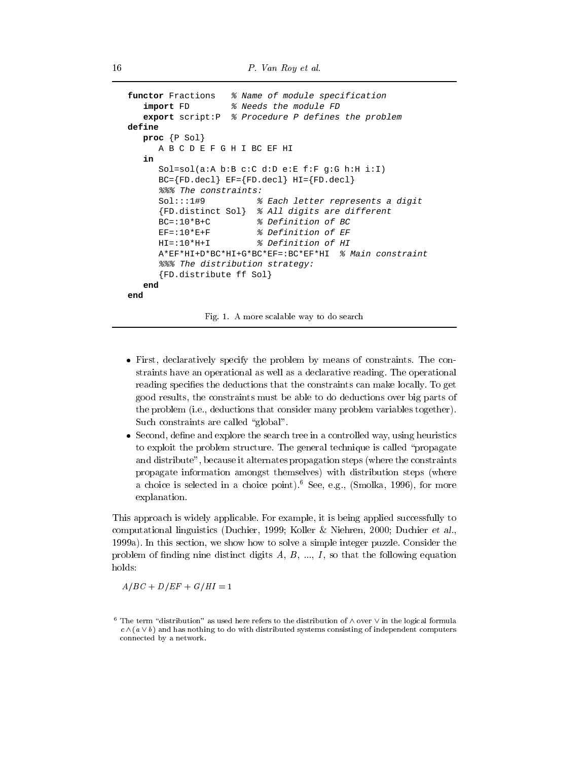16 P. Van Roy et al.

```
functor Fractions % Name of module specification
  import FD % Needs the module FD
  export script:P % Procedure P defines the problem
define
  proc {P Sol}
     A B C D E F G H I BC EF HI
  in
     Sol=sol(a:A b:B c:C d:D e:E f:F g:G h:H i:I)
     BC={FD.decl} EF={FD.decl} HI={FD.decl}
     %%% The constraints:
     Sol:::1#9 % Each letter represents a digit
     {FD.distinct Sol} % All digits are different
     BC=:10*B+C % Definition of BC
     EF=:10*E+F % Definition of EF
     HI=:10*H+I % Definition of HI
     A*EF*HI+D*BC*HI+G*BC*EF=:BC*EF*HI % Main constraint
     %%% The distribution strategy:
     {FD.distribute ff Sol}
  end
end
```
Fig. 1. A more scalable way to do search

- $\bullet$  first, declaratively specify the problem by means of constraints. The constraints have an operational as well as a declarative reading. The operational reading species the deductions that the constraints can make locally. To get good results, the constraints must be able to do deductions over big parts of the problem (i.e., deductions that consider many problem variables together). Such constraints are called "global".
- $\bullet\,$  Second, define and explore the search tree in a controlled way, using heuristics  $\,$ to exploit the problem structure. The general technique is called "propagate and distribute", because it alternates propagation steps (where the constraints propagate information amongst themselves) with distribution steps (where a choice is selected in a choice point).6 See, e.g., (Smolka, 1996), for more explanation.

This approach is widely applicable. For example, it is being applied successfully to computational linguistics (Duchier, 1999; Koller & Niehren, 2000; Duchier et al., 1999a). In this section, we show how to solve a simple integer puzzle. Consider the problem of finding nine distinct digits  $A, B, ..., I$ , so that the following equation

 $A/BC + D/EF + G/HI = 1$ 

 $\overline{\phantom{a}}$  fine term  $\overline{\phantom{a}}$  distribution" as used here refers to the distribution of  $\wedge$  over  $\vee$  in the logical formula  $\sigma$  , (a  $\tau$  b) and has nothing to do with distributed systems consisting of independent computers connected by a network.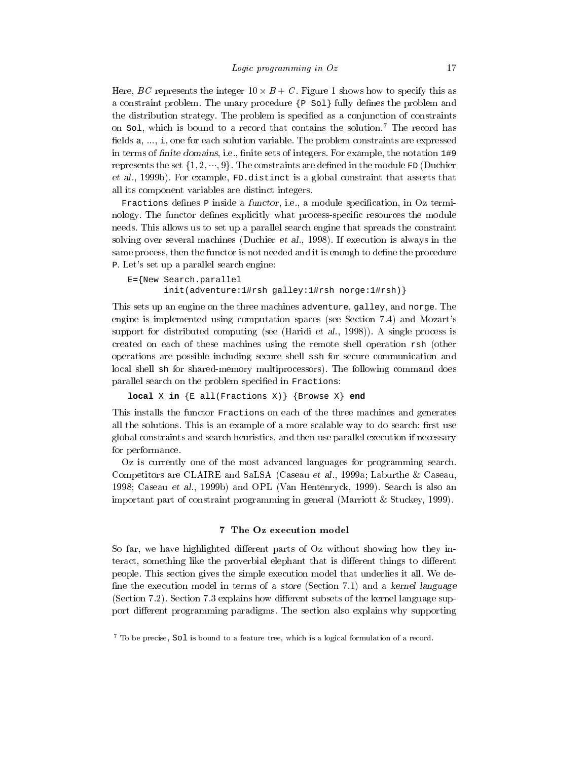Here, BC represents the integer  $10 \times B + C$ . Figure 1 shows how to specify this as a constraint problem. The unary procedure  $\{P \text{ Sol}\}\$ fully defines the problem and the distribution strategy. The problem is specied as a conjunction of constraints on  $\text{Sol}$ , which is bound to a record that contains the solution.<sup>7</sup> The record has fields  $a, ..., i$ , one for each solution variable. The problem constraints are expressed in terms of finite domains, i.e., finite sets of integers. For example, the notation 1#9 represents the set  $\{1, 2, \ldots, 9\}$ . The constraints are defined in the module FD (Duchier et al., 1999b). For example, FD.distinct is a global constraint that asserts that all its component variables are distinct integers.

Fractions defines  $P$  inside a functor, i.e., a module specification, in  $Oz$  terminology. The functor defines explicitly what process-specific resources the module needs. This allows us to set up a parallel search engine that spreads the constraint solving over several machines (Duchier et al., 1998). If execution is always in the same process, then the functor is not needed and it is enough to define the procedure P. Let's set up a parallel search engine:

```
E={New Search.parallel
       init(adventure:1#rsh galley:1#rsh norge:1#rsh)}
```
This sets up an engine on the three machines adventure, galley, and norge. The engine is implemented using computation spaces (see Section 7.4) and Mozart's support for distributed computing (see (Haridi et al., 1998)). A single process is created on each of these machines using the remote shell operation rsh (other operations are possible including secure shell ssh for secure communication and local shell sh for shared-memory multiprocessors). The following command does parallel search on the problem specified in Fractions:

**local** X **in** {E all(Fractions X)} {Browse X} **end**

This installs the functor Fractions on each of the three machines and generates all the solutions. This is an example of a more scalable way to do search: first use global constraints and search heuristics, and then use parallel execution if necessary for performance.

Oz is currently one of the most advanced languages for programming search. Competitors are CLAIRE and SaLSA (Caseau et al., 1999a; Laburthe & Caseau, 1998; Caseau et al., 1999b) and OPL (Van Hentenryck, 1999). Search is also an important part of constraint programming in general (Marriott & Stuckey, 1999).

#### 7 The Oz execution model

So far, we have highlighted different parts of  $Oz$  without showing how they interact, something like the proverbial elephant that is different things to different people. This section gives the simple execution model that underlies it all. We de fine the execution model in terms of a store (Section 7.1) and a kernel language  $(Section 7.2)$ . Section 7.3 explains how different subsets of the kernel language support different programming paradigms. The section also explains why supporting

 $7$  To be precise, Sol is bound to a feature tree, which is a logical formulation of a record.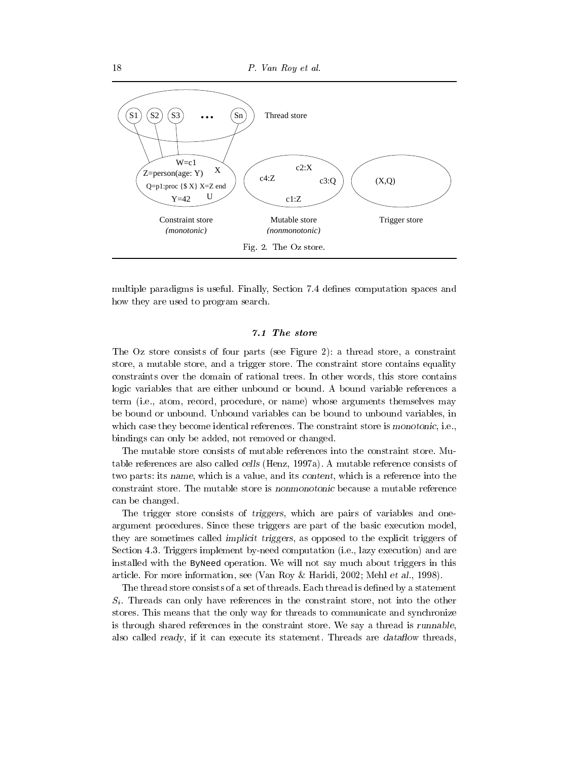

multiple paradigms is useful. Finally, Section 7.4 denes computation spaces and how they are used to program search.

The Oz store consists of four parts (see Figure 2): a thread store, a constraint store, a mutable store, and a trigger store. The constraint store contains equality constraints over the domain of rational trees. In other words, this store contains logic variables that are either unbound or bound. A bound variable references a term (i.e., atom, record, procedure, or name) whose arguments themselves may be bound or unbound. Unbound variables can be bound to unbound variables, in which case they become identical references. The constraint store is monotonic, i.e., bindings can only be added, not removed or changed.

The mutable store consists of mutable references into the constraint store. Mutable references are also called cells (Henz, 1997a). A mutable reference consists of two parts: its name, which is a value, and its content, which is a reference into the constraint store. The mutable store is nonmonotonic because a mutable reference can be changed.

The trigger store consists of triggers, which are pairs of variables and oneargument procedures. Since these triggers are part of the basic execution model, they are sometimes called implicit triggers, as opposed to the explicit triggers of Section 4.3. Triggers implement by-need computation (i.e., lazy execution) and are installed with the ByNeed operation. We will not say much about triggers in this article. For more information, see (Van Roy & Haridi, 2002; Mehl et al., 1998).

The thread store consists of a set of threads. Each thread is defined by a statement  $S_i$ . Threads can only have references in the constraint store, not into the other stores. This means that the only way for threads to communicate and synchronize is through shared references in the constraint store. We say a thread is runnable, also called ready, if it can execute its statement. Threads are dataflow threads,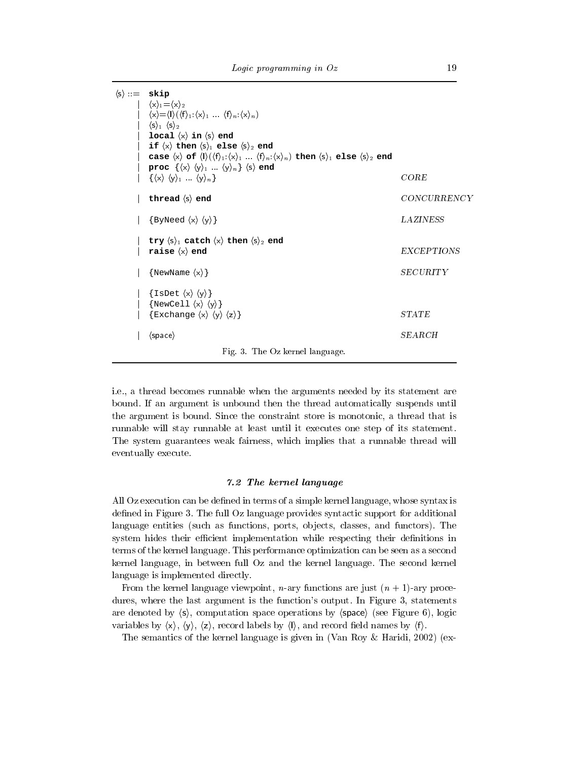```
\langle s \rangle ::= skip
            \langle x \rangle_1 = \langle x \rangle_2\langle x \rangle = \langle \mathsf{I} \rangle \left( \langle \mathsf{f} \rangle_1 : \langle x \rangle_1 \dots \langle \mathsf{f} \rangle_n : \langle x \rangle_n \right)\langle s \rangle_1 \langle s \rangle_2local \langle x \rangle in \langle s \rangle end
            if \langle x \rangle then \langle s \rangle_1 else \langle s \rangle_2 end
            case \langle x \rangle of \langle \vert \rangle (\langle f \rangle_1 : \langle x \rangle_1 \dots \langle f \rangle_n : \langle x \rangle_n) then \langle s \rangle_1 else \langle s \rangle_2 end
            proc \{\langle x \rangle \langle y \rangle_1 \dots \langle y \rangle_n\} \langle s \rangle end
           \{\langle x \rangle \langle y \rangle_1 ...\langle y \rangle_n \} CORE
            thread \langle s \rangle end<br>
CONCURRENCY
            \{ByNeed \langle x \rangle \langle y \rangle\} LAZINESS\text{try}(s) catch \langle x \rangle then \langle s \rangle end
            raise \langle x \rangle end EXCEPTIONS
             {NewName(x)} {SECURTY}\{IsDet \langle x \rangle \langle y \rangle\}\{NewCell \langle x \rangle \langle y \rangle\}\{Exchange \langle x \rangle \langle y \rangle \langle z \rangle\} STATE
         j hspacei SEARCH SEARCH SEARCH SEARCH SEARCH SEARCH SEARCH SEARCH SEARCH SEARCH SEARCH SEARCH SEARCH SEARCH SE
                                        Fig. 3. The Oz kernel language.
```
i.e., a thread becomes runnable when the arguments needed by its statement are bound. If an argument is unbound then the thread automatically suspends until the argument is bound. Since the constraint store is monotonic, a thread that is runnable will stay runnable at least until it executes one step of its statement. The system guarantees weak fairness, which implies that a runnable thread will eventually execute.

#### 7.2 The kernel language

All Oz execution can be dened in terms of a simple kernel language, whose syntax is defined in Figure 3. The full Oz language provides syntactic support for additional language entities (such as functions, ports, objects, classes, and functors). The system hides their efficient implementation while respecting their definitions in terms of the kernel language. This performance optimization can be seen as a second kernel language, in between full Oz and the kernel language. The second kernel language is implemented directly.

From the kernel language viewpoint, *n*-ary functions are just  $(n + 1)$ -ary procedures, where the last argument is the function's output. In Figure 3, statements are denoted by  $\langle s \rangle$ , computation space operations by  $\langle space \rangle$  (see Figure 6), logic variables by  $\langle x \rangle$ ,  $\langle y \rangle$ ,  $\langle z \rangle$ , record labels by  $\langle f \rangle$ , and record field names by  $\langle f \rangle$ .

The semantics of the kernel language is given in (Van Roy & Haridi, 2002) (ex-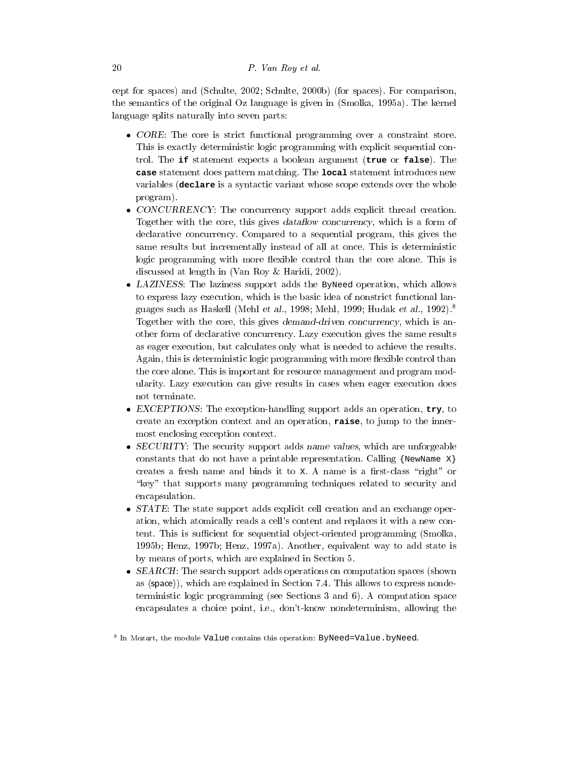cept for spaces) and (Schulte, 2002; Schulte, 2000b) (for spaces). For comparison, the semantics of the original Oz language is given in (Smolka, 1995a). The kernel language splits naturally into seven parts:

- $\bullet$  CORE: The core is strict functional programming over a constraint store. This is exactly deterministic logic programming with explicit sequential control. The **if** statement expects a boolean argument (**true** or **false**). The **case** statement does pattern matching. The **local** statement introduces new variables (**declare** is a syntactic variant whose scope extends over the whole program).
- $\bullet$  CONCURRENCY: The concurrency support adds explicit thread creation. Together with the core, this gives dataflow concurrency, which is a form of declarative concurrency. Compared to a sequential program, this gives the same results but incrementally instead of all at once. This is deterministic logic programming with more flexible control than the core alone. This is discussed at length in (Van Roy & Haridi, 2002).
- $LAZINESS$ : The laziness support adds the ByNeed operation, which allows to express lazy execution, which is the basic idea of nonstrict functional languages such as Haskell (Mehl et al., 1998; Mehl, 1999; Hudak et al., 1992).<sup>8</sup> Together with the core, this gives demand-driven concurrency, which is another form of declarative concurrency. Lazy execution gives the same results as eager execution, but calculates only what is needed to achieve the results. Again, this is deterministic logic programming with more flexible control than the core alone. This is important for resource management and program modularity. Lazy execution can give results in cases when eager execution does not terminate.
- EXCEPTIONS: The exception-handling support adds an operation, **try**, to create an exception context and an operation, **raise**, to jump to the innermost enclosing exception context.
- $\bullet$  SECURITY: The security support adds name values, which are unforgeable constants that do not have a printable representation. Calling {NewName X} creates a fresh name and binds it to  $x$ . A name is a first-class "right" or "key" that supports many programming techniques related to security and encapsulation.
- $\bullet$  STATE: The state support adds explicit cell creation and an exchange operation, which atomically reads a cell's content and replaces it with a new content. This is sufficient for sequential object-oriented programming (Smolka, 1995b; Henz, 1997b; Henz, 1997a). Another, equivalent way to add state is by means of ports, which are explained in Section 5.
- $\bullet$  SEARCH: The search support adds operations on computation spaces (shown as  $\langle space \rangle$ , which are explained in Section 7.4. This allows to express nondeterministic logic programming (see Sections 3 and 6). A computation space encapsulates a choice point, i.e., don't-know nondeterminism, allowing the

<sup>&</sup>lt;sup>8</sup> In Mozart, the module Value contains this operation: ByNeed=Value.byNeed.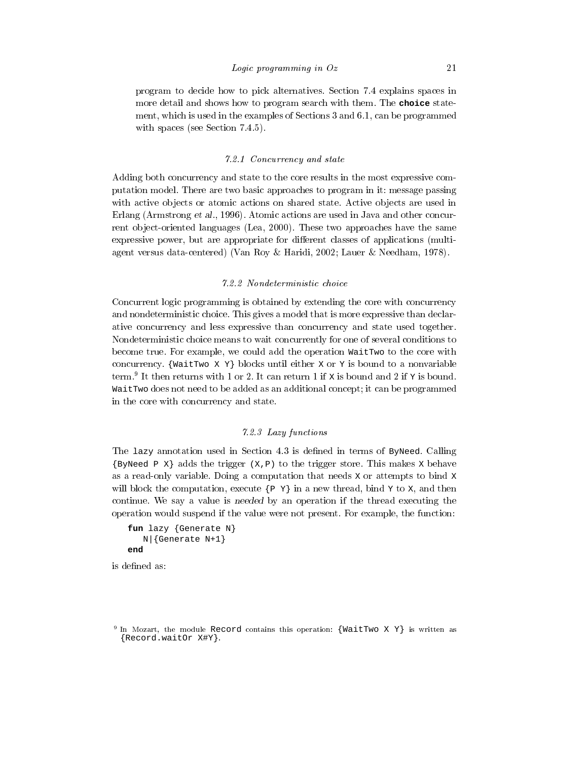program to decide how to pick alternatives. Section 7.4 explains spaces in more detail and shows how to program search with them. The **choice** statement, which is used in the examples of Sections 3 and 6.1, can be programmed with spaces (see Section 7.4.5).

#### 7.2.1 Concurrency and state

Adding both concurrency and state to the core results in the most expressive computation model. There are two basic approaches to program in it: message passing with active objects or atomic actions on shared state. Active objects are used in Erlang (Armstrong et al., 1996). Atomic actions are used in Java and other concurrent ob ject-oriented languages (Lea, 2000). These two approaches have the same expressive power, but are appropriate for different classes of applications (multiagent versus data-centered) (Van Roy & Haridi, 2002; Lauer & Needham, 1978).

#### 7.2.2 Nondeterministic choice

Concurrent logic programming is obtained by extending the core with concurrency and nondeterministic choice. This gives a model that is more expressive than declarative concurrency and less expressive than concurrency and state used together. Nondeterministic choice means to wait concurrently for one of several conditions to become true. For example, we could add the operation WaitTwo to the core with concurrency. {WaitTwo X Y} blocks until either X or Y is bound to a nonvariable term.9 It then returns with 1 or 2. It can return 1 if X is bound and 2 if Y is bound. WaitTwo does not need to be added as an additional concept; it can be programmed in the core with concurrency and state.

# 7.2.3 Lazy functions

The lazy annotation used in Section 4.3 is defined in terms of ByNeed. Calling  $\{ByNeed P X\}$  adds the trigger  $(X, P)$  to the trigger store. This makes X behave as a read-only variable. Doing a computation that needs X or attempts to bind X will block the computation, execute  $\{P \ Y\}$  in a new thread, bind Y to X, and then continue. We say a value is needed by an operation if the thread executing the operation would suspend if the value were not present. For example, the function:

```
fun lazy {Generate N}
  N|{Generate N+1}
end
```
is defined as:

 $^9$  In Mozart, the module Record contains this operation: {WaitTwo X Y} is written as {Record.waitOr X#Y}.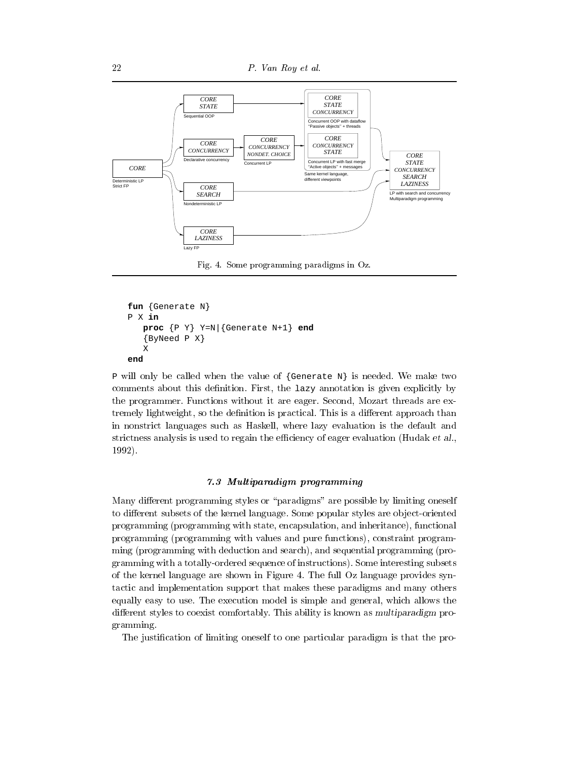

Fig. 4. Some programming paradigms in Oz.

```
fun {Generate N}
P X in
   proc {P Y} Y=N|{Generate N+1} end
   {ByNeed P X}
   X
end
```
P will only be called when the value of {Generate N} is needed. We make two comments about this definition. First, the lazy annotation is given explicitly by the programmer. Functions without it are eager. Second, Mozart threads are extremely lightweight, so the definition is practical. This is a different approach than in nonstrict languages such as Haskell, where lazy evaluation is the default and strictness analysis is used to regain the efficiency of eager evaluation (Hudak et al., 1992).

# 7.3 Multiparadigm programming

Many different programming styles or "paradigms" are possible by limiting oneself to different subsets of the kernel language. Some popular styles are object-oriented programming (programming with state, encapsulation, and inheritance), functional programming (programming with values and pure functions), constraint programming (programming with deduction and search), and sequential programming (programming with a totally-ordered sequence of instructions). Some interesting subsets of the kernel language are shown in Figure 4. The full Oz language provides syntactic and implementation support that makes these paradigms and many others equally easy to use. The execution model is simple and general, which allows the different styles to coexist comfortably. This ability is known as multiparadigm programming.

The justication of limiting oneself to one particular paradigm is that the pro-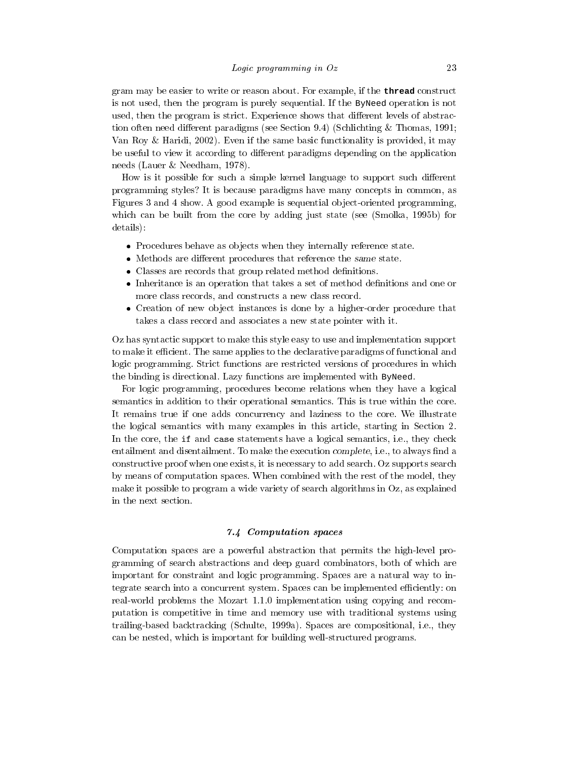gram may be easier to write or reason about. For example, if the **thread** construct is not used, then the program is purely sequential. If the ByNeed operation is not used, then the program is strict. Experience shows that different levels of abstraction often need different paradigms (see Section 9.4) (Schlichting & Thomas, 1991; Van Roy & Haridi, 2002). Even if the same basic functionality is provided, it may be useful to view it according to different paradigms depending on the application needs (Lauer & Needham, 1978).

How is it possible for such a simple kernel language to support such different programming styles? It is because paradigms have many concepts in common, as Figures 3 and 4 show. A good example is sequential object-oriented programming, which can be built from the core by adding just state (see (Smolka, 1995b) for details):

- $\bullet$  Procedures behave as objects when they internally reference state.
- $\bullet$  -Methods are different procedures that reference the  $same$  state.
- Classes are records that group related method definitions. Classes are records that group related method denitions.
- $\bullet$  Inheritance is an operation that takes a set of method definitions and one or more class records, and constructs a new class record.
- $\bullet$  Creation of new object instances is done by a higher-order procedure that takes a class record and associates a new state pointer with it.

Oz has style this style style style easy to use and in this style easy to use and implementation supported the to make it efficient. The same applies to the declarative paradigms of functional and logic programming. Strict functions are restricted versions of procedures in which the binding is directional. Lazy functions are implemented with ByNeed.

For logic programming, procedures become relations when they have a logical semantics in addition to their operational semantics. This is true within the core. It remains true if one adds concurrency and laziness to the core. We illustrate the logical semantics with many examples in this article, starting in Section 2. In the core, the if and case statements have a logical semantics, i.e., they check entailment and disentailment. To make the execution *complete*, *i.e.*, to always find a constructive proof when one exists, it is necessary to add search. Oz supports search by means of computation spaces. When combined with the rest of the model, they make it possible to program a wide variety of search algorithms in Oz, as explained in the next section.

# 7.4 Computation spaces

Computation spaces are a powerful abstraction that permits the high-level programming of search abstractions and deep guard combinators, both of which are important for constraint and logic programming. Spaces are a natural way to integrate search into a concurrent system. Spaces can be implemented efficiently: on real-world problems the Mozart 1.1.0 implementation using copying and recomputation iscompetitive in time and memory use with traditional systems using trailing-based backtracking (Schulte, 1999a). Spaces are compositional, i.e., they can be nested, which is important for building well-structured programs.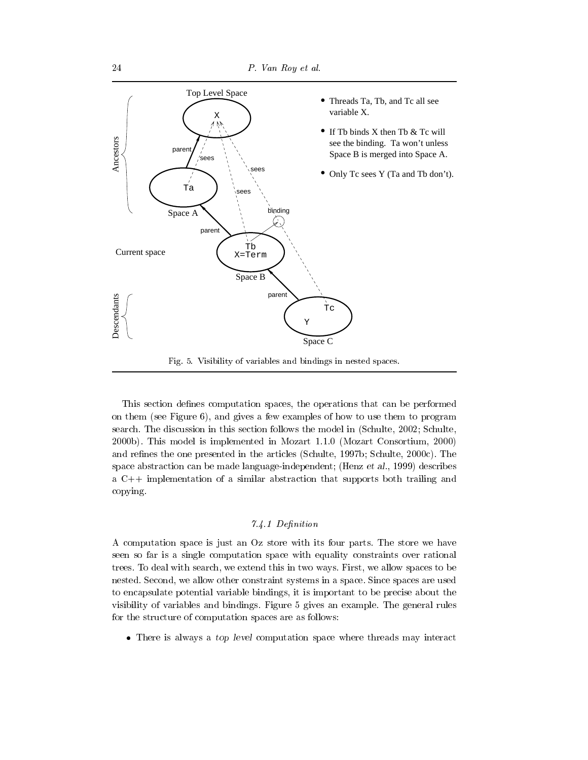

This section defines computation spaces, the operations that can be performed on them (see Figure 6), and gives a few examples of how to use them to program search. The discussion in this section follows the model in (Schulte, 2002; Schulte, 2000b). This model is implemented in Mozart 1.1.0 (Mozart Consortium, 2000) and refines the one presented in the articles (Schulte, 1997b; Schulte, 2000c). The space abstraction can be made language-independent; (Henz et al., 1999) describes a C++ implementation of a similar abstraction that supports both trailing and copying.

# 7.4.1 Denition

A computation space is just an Oz store with its four parts. The store we have seen so far is a single computation space with equality constraints over rational trees. To deal with search, we extend this in two ways. First, we allow spaces to be nested. Second, we allow other constraint systems in a space. Since spaces are used to encapsulate potential variable bindings, it is important to be precise about the visibility of variables and bindings. Figure 5 gives an example. The general rules for the structure of computation spaces are as follows:

 $\bullet$  There is always a top level computation space where threads may interact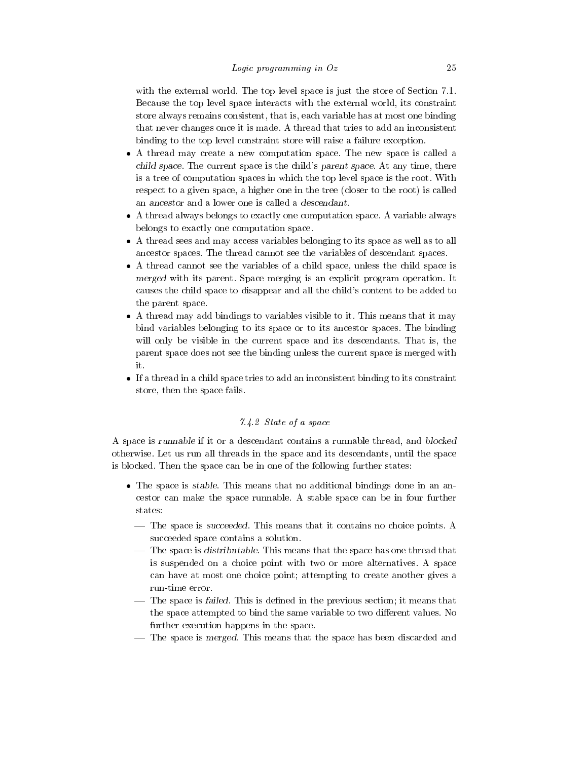with the external world. The top level space is just the store of Section 7.1. Because the top level space interacts with the external world, its constraint store always remains consistent, that is, each variable has at most one binding that never changes once it is made. A thread that tries to add an inconsistent binding to the top level constraint store will raise a failure exception.

- $\bullet$  A thread may create a new computation space. The new space is called a child space. The current space is the child's parent space. At any time, there is a tree of computation spaces in which the top level space is the root. With respect to a given space, a higher one in the tree (closer to the root) is called an ancestor and a lower one is called a descendant.
- A thread always belongs to exactly one computation space. A variable always belongs to exactly one computation space.
- $\bullet$  A thread sees and may access variables belonging to its space as well as to all ancestor spaces. The thread cannot see the variables of descendant spaces.
- A thread cannot see the variables of a child space, unless the child space is merged with its parent. Space merging is an explicit program operation. It causes the child space to disappear and all the child's content to be added to the parent space.
- $\bullet$  A thread may add bindings to variables visible to it. This means that it may bind variables belonging to its space or to its ancestor spaces. The binding will only be visible in the current space and its descendants. That is, the parent space does not see the binding unless the current space is merged with it.
- $\bullet$  If a thread in a child space tries to add an inconsistent binding to its constraint store, then the space fails.

# 7.4.2 State of a space

A space is runnable if it or a descendant contains a runnable thread, and blocked otherwise. Let us run all threads in the space and its descendants, until the space is blocked. Then the space can be in one of the following further states:

- $\bullet$  The space is stable. This means that no additional bindings done in an ancestor can make the space runnable. A stable space can be in four further states:
	- | The space is succeeded. This means that it contains no choice points. A succeeded space contains a solution.
	- | The space is distributable. This means that the space has one thread that is suspended on a choice point with two or more alternatives. A space can have at most one choice point; attempting to create another gives a run-time error.
	- $\overline{\phantom{a}}$  The space is failed. This is defined in the previous section; it means that the space attempted to bind the same variable to two different values. No further execution happens in the space.
	- The space is merged. This means that the space has been discarded and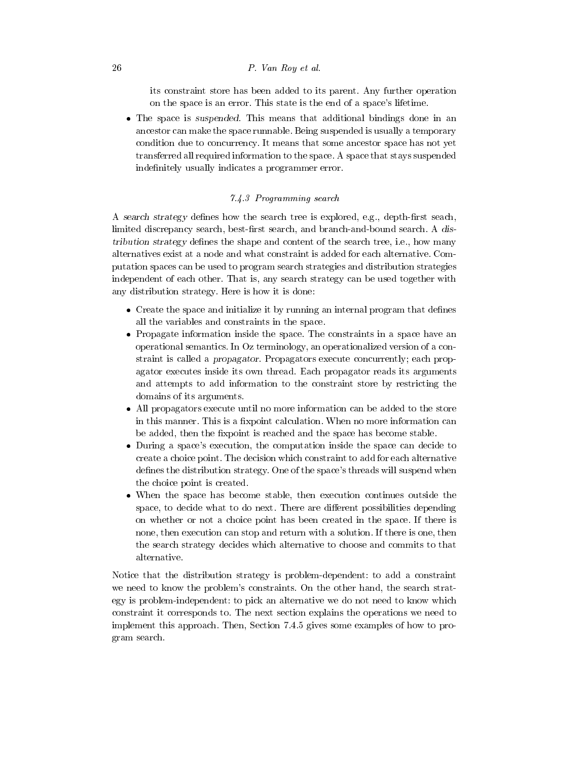#### 26 P. Van Roy et al.

its constraint store has been added to its parent. Any further operation on the space is an error. This state is the end of a space's lifetime.

 $\bullet$  The space is suspended. This means that additional bindings done in an ancestor can make the space runnable. Being suspended is usually a temporary condition due to concurrency. It means that some ancestor space has not yet transferred all required information to the space. A space that stays suspended indefinitely usually indicates a programmer error.

# 7.4.3 Programming search

A search strategy defines how the search tree is explored, e.g., depth-first seach, limited discrepancy search, best-first search, and branch-and-bound search. A distribution strategy defines the shape and content of the search tree, i.e., how many alternatives exist at a node and what constraint is added for each alternative. Computation spaces can be used to program search strategies and distribution strategies independent of each other. That is, any search strategy can be used together with any distribution strategy. Here is how it is done:

- $\bullet\,$  Create the space and initialize it by running an internal program that defines all the variables and constraints in the space.
- $\bullet$  Propagate information inside the space. The constraints in a space have an operational semantics. In Oz terminology, an operationalized version of a constraint is called a propagator. Propagators execute concurrently; each propagator executes inside its own thread. Each propagator reads its arguments and attempts to add information to the constraint store by restricting the domains of its arguments.
- All propagators execute until no more information can be added to the store in this manner. This is a fixpoint calculation. When no more information can be added, then the fixpoint is reached and the space has become stable.
- During a space's execution, the computation inside the space can decide to create a choice point. The decision which constraint to add for each alternative defines the distribution strategy. One of the space's threads will suspend when the choice point is created.
- When the space has become stable, then execution continues outside the space, to decide what to do next. There are different possibilities depending on whether or not a choice point has been created in the space. If there is none, then execution can stop and return with a solution. If there is one, then the search strategy decides which alternative to choose and commits to that alternative.

Notice that the distribution strategy is problem-dependent: to add a constraint we need to know the problem's constraints. On the other hand, the search strategy is problem-independent: to pick an alternative we do not need to know which constraint it corresponds to. The next section explains the operations we need to implement this approach. Then, Section 7.4.5 gives some examples of how to program search.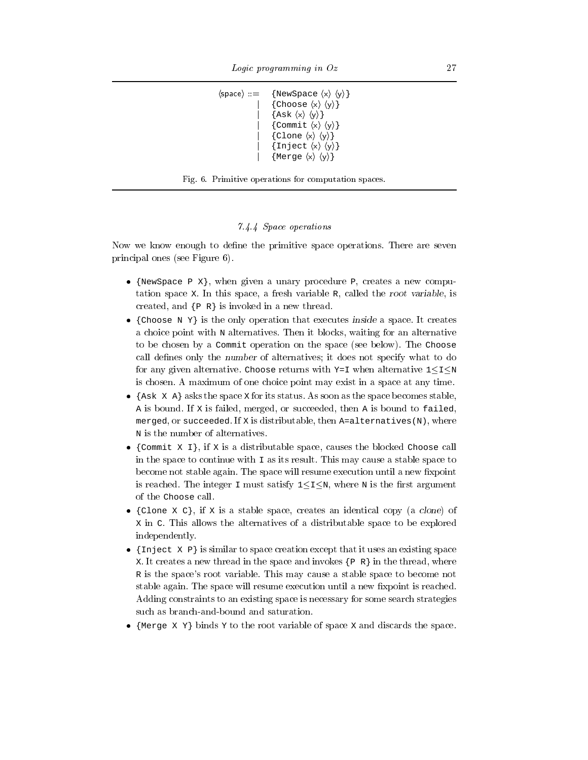```
\langle space \rangle ::= \{ NewSpace \langle x \rangle \langle y \rangle \}{Choose \langle x \rangle \langle y \rangle}\{Ask \langle x \rangle \langle y \rangle\}\{Commit(x) \langle y \rangle\}{Clone \langle x \rangle \langle y \rangle}\{Inject \langle x \rangle \langle y \rangle\}{Merge \langle x \rangle \langle y \rangle}
```
Fig. 6. Primitive operations for computation spaces.

# 7.4.4 Space operations

Now we know enough to define the primitive space operations. There are seven principal ones (see Figure 6).

- {NewSpace P X}, when given a unary procedure P, creates a new computation space X.In this space, a fresh variable R, called the root variable, is created, and {P R} is invoked in a new thread.
- {Choose N Y} is the only operation that executes inside a space. It creates a choice point with N alternatives. Then it blocks, waiting for an alternative to be chosen by a Commit operation on the space (see below). The Choose call defines only the number of alternatives; it does not specify what to do for any given alternative. Choose returns with  $Y=I$  when alternative  $1\leq I\leq N$ is chosen. A maximum of one choice point may exist in a space at any time.
- $\bullet$  {Ask  $\,$  X  $\,$  A} asks the space  $\,$  x for its status. As soon as the space becomes stable, A is bound. If X is failed, merged, or succeeded, then A is bound to failed, merged, or succeeded. If  $X$  is distributable, then A=alternatives( $N$ ), where N is the number of alternatives.
- {Commit X I}, if X is a distributable space, causes the blocked Choose call in the space to continue with I as its result. This may cause a stable space to become not stable again. The space will resume execution until a new fixpoint is reached. The integer I must satisfy  $1 \leq i \leq N$ , where N is the first argument of the Choose call.
- {Clone  $X \subset Y$ }, if X is a stable space, creates an identical copy (a *clone*) of X in C. This allows the alternatives of a distributable space to be explored independently.
- {Inject X P} is similar to space creation except that it uses an existing space x. It creates a new thread in the space and invokes  $\{P \ R\}$  in the thread, where R is the space's root variable. This may cause a stable space to become not stable again. The space will resume execution until a new fixpoint is reached. Adding constraints to an existing space is necessary for some search strategies such as branch-and-bound and saturation.
- {Merge X Y} binds Y to the root variable of space X and discards the space.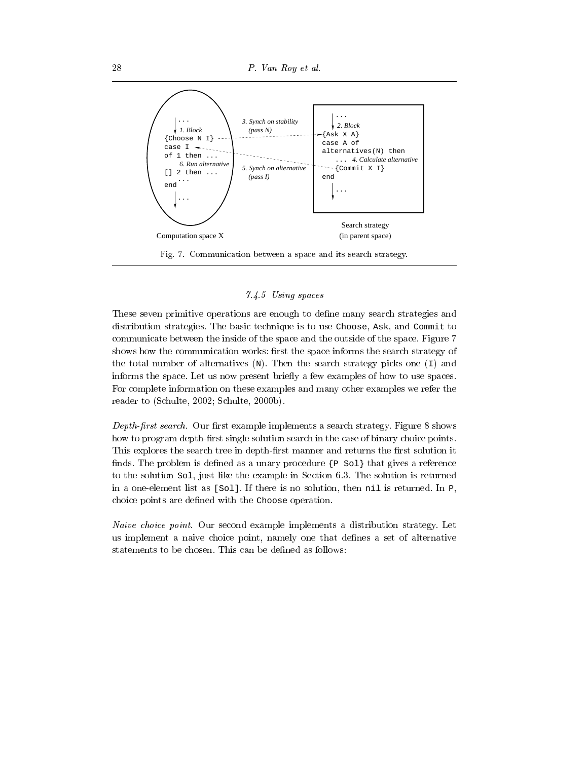

Fig. 7. Communication between a space and its search strategy.

# 7.4.5 Using spaces

These seven primitive operations are enough to define many search strategies and distribution strategies. The basic technique is to use Choose, Ask, and Commit to communicate between the inside of the space and the outside of the space. Figure 7 shows how the communication works: first the space informs the search strategy of the total number of alternatives  $(N)$ . Then the search strategy picks one  $(I)$  and informs the space. Let us now present briefly a few examples of how to use spaces. For complete information on these examples and many other examples we refer the reader to (Schulte, 2002; Schulte, 2000b).

Depth-first search. Our first example implements a search strategy. Figure 8 shows how to program depth-first single solution search in the case of binary choice points. This explores the search tree in depth-first manner and returns the first solution it finds. The problem is defined as a unary procedure  $\{P \text{ Sol}\}\$  that gives a reference to the solution Sol, just like the example in Section 6.3. The solution is returned in a one-element list as [Sol]. If there is no solution, then nil is returned. In P, choice points are defined with the Choose operation.

Naive choice point. Our second example implements a distribution strategy. Let us implement a naive choice point, namely one that defines a set of alternative statements to be chosen. This can be defined as follows: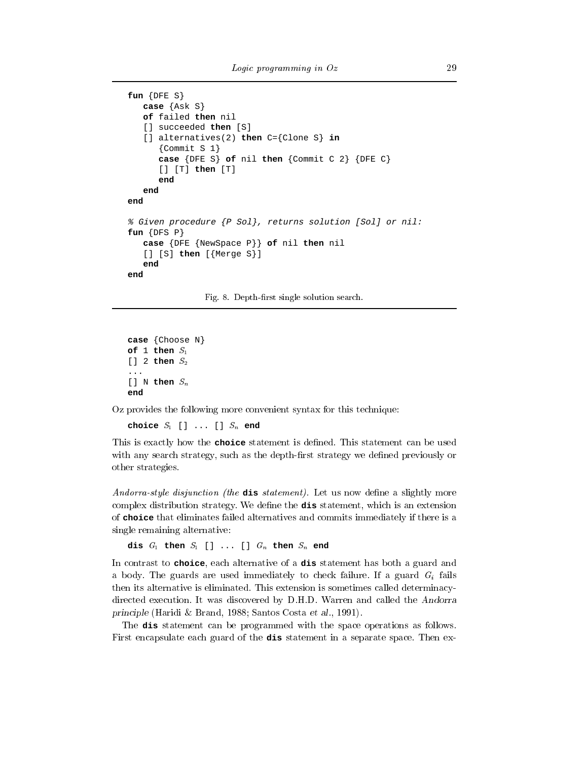```
fun {DFE S}
   case {Ask S}
   of failed then nil
   [] succeeded then [S]
   [] alternatives(2) then C={Clone S} in
      {Commit S 1}
      case {DFE S} of nil then {Commit C 2} {DFE C}
      [] [T] then [T]
      end
   end
end
% Given procedure {P Sol}, returns solution [Sol] or nil:
fun {DFS P}
   case {DFE {NewSpace P}} of nil then nil
   [] [S] then [{Merge S}]
   end
end
```
Fig. 8. Depth-first single solution search.

```
case {Choose N}
of 1 then S1
[] 2 then S_2...
[] N then S_nend
```
Oz provides the following more convenient syntax for this technique:

**choice**  $S_1$  [] ... []  $S_n$  **end** 

This is exactly how the **choice** statement is dened. This statement can be used with any search strategy, such as the depth-first strategy we defined previously or other strategies.

Andorra-style disjunction (the **dis** statement). Let us now define a slightly more complex distribution strategy. We dene the **dis** statement, which is an extension of **choice** that eliminates failed alternatives and commits immediately if there is a single remaining alternative:

```
dis G_1 then S_1 [] ... [] G_n then S_n end
```
In contrast to **choice**, each alternative of a **dis** statement has both a guard and a body. The guards are used immediately to check failure. If a guard  $G_i$  fails then its alternative is eliminated. This extension is sometimes called determinacydirected execution. It was discovered by D.H.D. Warren and called the Andorra principle (Haridi & Brand, 1988; Santos Costa et al., 1991).

The **dis** statement can be programmed with the space operations as follows. First encapsulate each guard of the **dis** statement in <sup>a</sup> separate space. Then ex-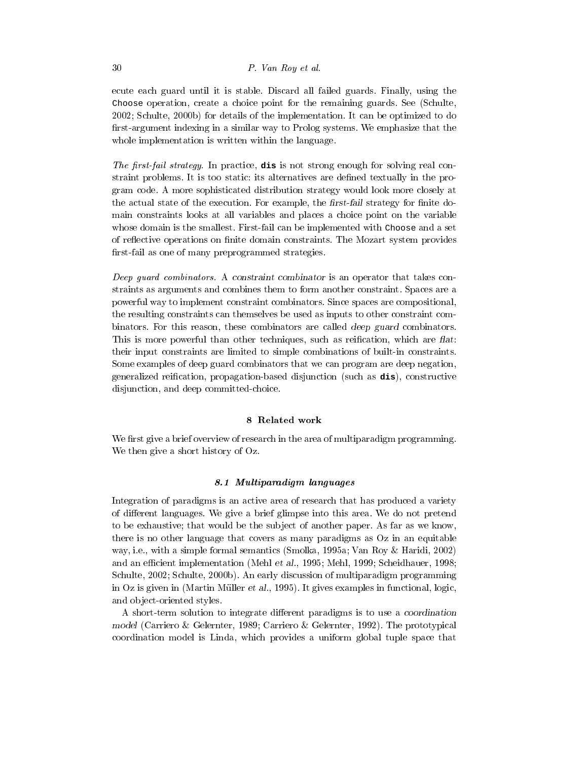# 30 P. Van Roy et al.

ecute each guard until it is stable. Discard all failed guards. Finally, using the Choose operation, create a choice point for the remaining guards. See (Schulte, 2002; Schulte, 2000b) for details of the implementation. It can be optimized to do first-argument indexing in a similar way to Prolog systems. We emphasize that the whole implementation is written within the language.

The first-fail strategy. In practice,  $\text{dis}$  is not strong enough for solving real constraint problems. It is too static: its alternatives are defined textually in the program code. A more sophisticated distribution strategy would look more closely at the actual state of the execution. For example, the first-fail strategy for finite domain constraints looks at all variables and places a choice point on the variable whose domain is the smallest. First-fail can be implemented with Choose and a set of reflective operations on finite domain constraints. The Mozart system provides first-fail as one of many preprogrammed strategies.

Deep guard combinators. A constraint combinator is an operator that takes constraints as arguments and combines them to form another constraint. Spaces are a powerful way to implement constraint combinators. Since spaces are compositional, the resulting constraints can themselves be used as inputs to other constraint combinators. For this reason, these combinators are called deep guard combinators. This is more powerful than other techniques, such as reification, which are flat: their input constraints are limited to simple combinations of built-in constraints. Some examples of deep guard combinators that we can program are deep negation, generalized reication, propagation-based disjunction (such as **dis**), constructive disjunction, and deep committed-choice.

#### 8 Related work

We first give a brief overview of research in the area of multiparadigm programming. We then give a short history of Oz.

#### 8.1 Multiparadigm languages

Integration of paradigms is an active area of research that has produced a variety of different languages. We give a brief glimpse into this area. We do not pretend to be exhaustive; that would be the sub ject of another paper. As far as we know, there is no other language that covers as many paradigms as Oz in an equitable way, i.e., with a simple formal semantics (Smolka, 1995a; Van Roy & Haridi, 2002) and an efficient implementation (Mehl et al., 1995; Mehl, 1999; Scheidhauer, 1998; Schulte, 2002; Schulte, 2000b). An early discussion of multiparadigm programming in  $Oz$  is given in (Martin Müller *et al.*, 1995). It gives examples in functional, logic, and ob ject-oriented styles.

A short-term solution to integrate different paradigms is to use a *coordination* model (Carriero & Gelernter, 1989; Carriero & Gelernter, 1992). The prototypical coordination model is Linda, which provides a uniform global tuple space that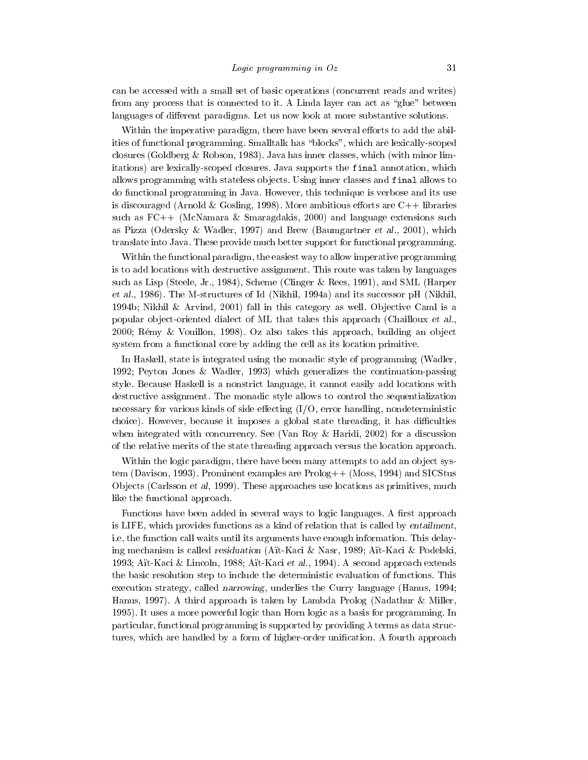can be accessed with a small set of basic operations (concurrent reads and writes) from any process that is connected to it. A Linda layer can act as "glue" between languages of different paradigms. Let us now look at more substantive solutions.

Within the imperative paradigm, there have been several efforts to add the abilities of functional programming. Smalltalk has \blocks", which are lexically-scoped closures (Goldberg & Robson, 1983). Java has inner classes, which (with minor limitations) are lexically-scoped closures. Java supports the final annotation, which allows programming with stateless ob jects. Using inner classes and final allows to do functional programming in Java. However, this technique is verbose and its use is discouraged (Arnold & Gosling, 1998). More ambitious efforts are  $C++$  libraries such as  $FC++$  (McNamara & Smaragdakis, 2000) and language extensions such as Pizza (Odersky & Wadler, 1997) and Brew (Baumgartner et al., 2001), which translate into Java. These provide much better support for functional programming.

Within the functional paradigm, the easiest way to allow imperative programming is to add locations with destructive assignment. This route was taken by languages such as Lisp (Steele, Jr., 1984), Scheme (Clinger & Rees, 1991), and SML (Harper et al., 1986). The M-structures of Id (Nikhil, 1994a) and its successor pH (Nikhil, 1994b; Nikhil & Arvind, 2001) fall in this category as well. Objective Caml is a popular ob ject-oriented dialect of ML that takes this approach (Chailloux et al., 2000; Rémy & Vouillon, 1998). Oz also takes this approach, building an object system from a functional core by adding the cell as its location primitive.

In Haskell, state is integrated using the monadic style of programming (Wadler, 1992; Peyton Jones & Wadler, 1993) which generalizes the continuation-passing style. Because Haskell is a nonstrict language, it cannot easily add locations with destructive assignment. The monadic style allows to control the sequentialization necessary for various kinds of side effecting  $(I/O,$  error handling, nondeterministic choice). However, because it imposes a global state threading, it has difficulties when integrated with concurrency. See (Van Roy & Haridi, 2002) for a discussion of the relative merits of the state threading approach versus the location approach.

Within the logic paradigm, there have been many attempts to add an object system (Davison, 1993). Prominent examples are Prolog++ (Moss, 1994) and SICStus Ob jects (Carlsson et al, 1999). These approaches use locations as primitives, much like the functional approach.

Functions have been added in several ways to logic languages. A first approach is LIFE, which provides functions as a kind of relation that is called by entailment, i.e, the function call waits until its arguments have enough information. This delaying mechanism is called *residuation* (Aït-Kaci & Nasr, 1989; Aït-Kaci & Podelski, 1993; Ait-Kaci & Lincoln, 1988; Ait-Kaci et al., 1994). A second approach extends the basic resolution step to include the deterministic evaluation of functions. This execution strategy, called narrowing, underlies the Curry language (Hanus, 1994; Hanus, 1997). A third approach is taken by Lambda Prolog (Nadathur & Miller, 1995). It uses a more powerful logic than Horn logic as a basis for programming. In particular, functional programming is supported by providing  $\lambda$  terms as data structures, which are handled by a form of higher-order unification. A fourth approach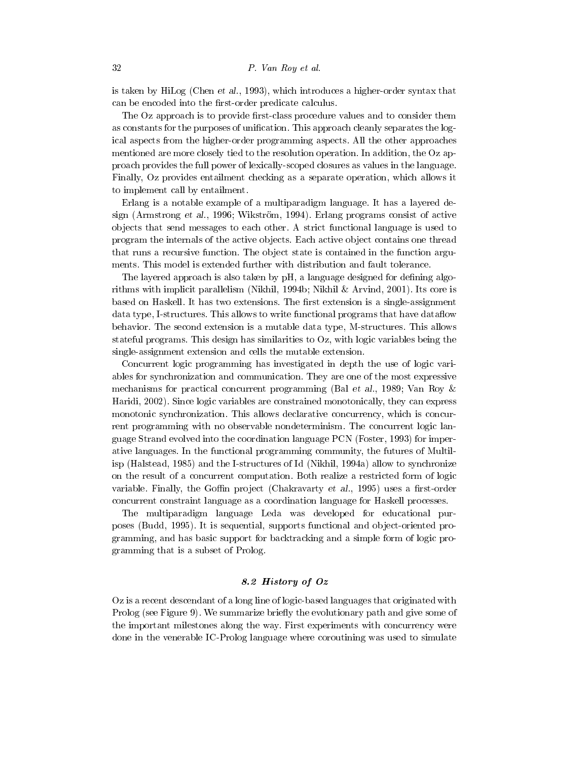is taken by HiLog (Chen et al., 1993), which introduces a higher-order syntax that can be encoded into the first-order predicate calculus.

The Oz approach is to provide first-class procedure values and to consider them as constants for the purposes of unication. This approach cleanly separates the logical aspects from the higher-order programming aspects. All the other approaches mentioned are more closely tied to the resolution operation. In addition, the Oz approach provides the full power of lexically-scoped closures as values in the language. Finally, Oz provides entailment checking as a separate operation, which allows it to implement call by entailment.

Erlang is a notable example of a multiparadigm language. It has a layered design (Armstrong et al., 1996; Wikström, 1994). Erlang programs consist of active objects that send messages to each other. A strict functional language is used to program the internals of the active ob jects. Each active ob ject contains one thread that runs a recursive function. The object state is contained in the function arguments. This model is extended further with distribution and fault tolerance.

The layered approach is also taken by pH, a language designed for defining algorithms with implicit parallelism (Nikhil, 1994b; Nikhil & Arvind, 2001). Its core is based on Haskell. It has two extensions. The first extension is a single-assignment data type, I-structures. This allows to write functional programs that have dataflow behavior. The second extension is a mutable data type, M-structures. This allows stateful programs. This design has similarities to Oz, with logic variables being the single-assignment extension and cells the mutable extension.

Concurrent logic programming has investigated in depth the use of logic variables for synchronization and communication. They are one of the most expressive mechanisms for practical concurrent programming (Bal et al., 1989; Van Roy & Haridi, 2002). Since logic variables are constrained monotonically, they can express monotonic synchronization. This allows declarative concurrency, which is concurrent programming with no observable nondeterminism. The concurrent logic language Strand evolved into the coordination language PCN (Foster, 1993) for imperative languages. In the functional programming community, the futures of Multilisp (Halstead, 1985) and the I-structures of Id (Nikhil, 1994a) allow to synchronize on the result of a concurrent computation. Both realize a restricted form of logic variable. Finally, the Goffin project (Chakravarty et al., 1995) uses a first-order concurrent constraint language as a coordination language for Haskell processes.

The multiparadigm language Leda was developed for educational purposes (Budd, 1995). It is sequential, supports functional and ob ject-oriented programming, and has basic support for backtracking and a simple form of logic programming that is a subset of Prolog.

# 8.2 History of Oz

Oz is a recent descendant of a long line of logic-based languages that originated with Prolog (see Figure 9). We summarize briefly the evolutionary path and give some of the important milestones along the way. First experiments with concurrency were done in the venerable IC-Prolog language where coroutining was used to simulate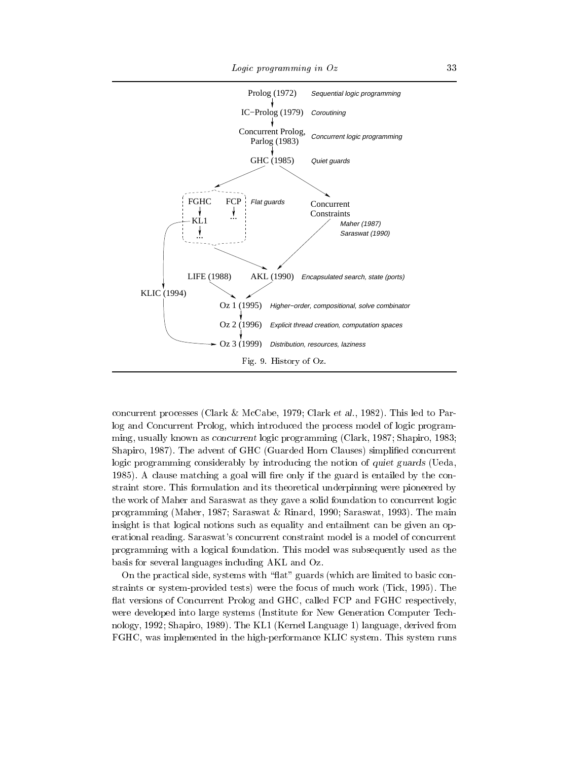

concurrent processes (Clark & McCabe, 1979; Clark et al., 1982). This led to Parlog and Concurrent Prolog, which introduced the process model of logic programming, usually known as concurrent logic programming (Clark, 1987; Shapiro, 1983; Shapiro, 1987). The advent of GHC (Guarded Horn Clauses) simplied concurrent logic programming considerably by introducing the notion of quiet guards (Ueda, 1985). A clause matching a goal will fire only if the guard is entailed by the constraint store. This formulation and its theoretical underpinning were pioneered by the work of Maher and Saraswat as they gave a solid foundation to concurrent logic programming (Maher, 1987; Saraswat & Rinard, 1990; Saraswat, 1993). The main insight is that logical notions such as equality and entailment can be given an operational reading. Saraswat's concurrent constraint model is a model of concurrent programming with a logical foundation. This model was subsequently used as the basis for several languages including AKL and Oz.

On the practical side, systems with "flat" guards (which are limited to basic constraints or system-provided tests) were the focus of much work (Tick, 1995). The flat versions of Concurrent Prolog and GHC, called FCP and FGHC respectively, were developed into large systems (Institute for New Generation Computer Technology, 1992; Shapiro, 1989). The KL1 (Kernel Language 1) language, derived from FGHC, was implemented in the high-performance KLIC system. This system runs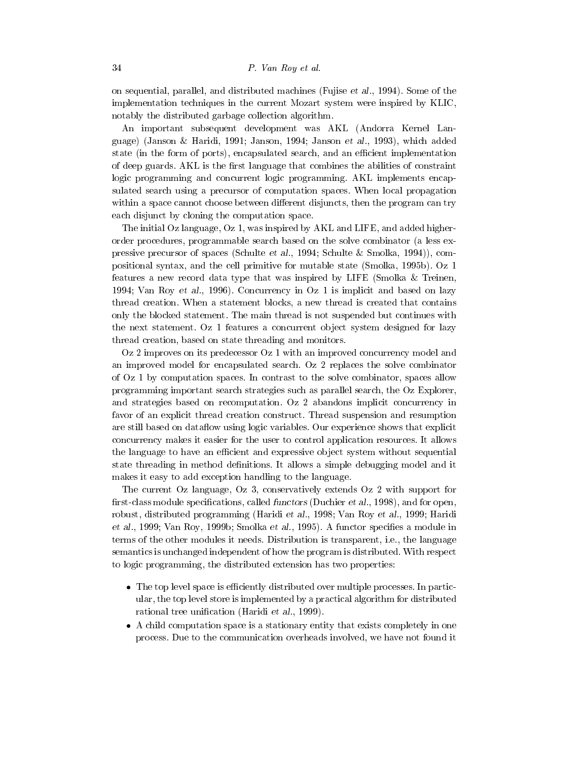on sequential, parallel, and distributed machines (Fujise et al., 1994). Some of the implementation techniques in the current Mozart system were inspired by KLIC, notably the distributed garbage collection algorithm.

An important subsequent development was AKL (Andorra Kernel Language) (Janson & Haridi, 1991; Janson, 1994; Janson etal., 1993), which added state (in the form of ports), encapsulated search, and an efficient implementation of deep guards. AKL is the first language that combines the abilities of constraint logic programming and concurrent logic programming. AKL implements encapsulated search using a precursor of computation spaces. When local propagation within a space cannot choose between different disjuncts, then the program can try each disjunct by cloning the computation space.

The initial Oz language, Oz 1, was inspired by AKL and LIFE, and added higherorder procedures, programmable search based on the solve combinator (a less expressive precursor of spaces (Schulte et al., 1994; Schulte & Smolka, 1994)), compositional syntax, and the cell primitive for mutable state (Smolka, 1995b). Oz 1 features a new record data type that was inspired by LIFE (Smolka & Treinen, 1994; Van Roy et al., 1996). Concurrency in Oz 1 is implicit and based on lazy thread creation. When a statement blocks, a new thread is created that contains only the blocked statement. The main thread is not suspended but continues with the next statement. Oz 1 features a concurrent object system designed for lazy thread creation, based on state threading and monitors.

Oz 2 improves on its predecessor Oz 1 with an improved concurrency model and an improved model for encapsulated search. Oz 2 replaces the solve combinator of Oz 1 by computation spaces. In contrast to the solve combinator, spaces allow programming important search strategies such as parallel search, the Oz Explorer, and strategies based on recomputation. Oz 2 abandons implicit concurrency in favor of an explicit thread creation construct. Thread suspension and resumption are still based on dataflow using logic variables. Our experience shows that explicit concurrency makes it easier for the user to control application resources. It allows the language to have an efficient and expressive object system without sequential state threading in method definitions. It allows a simple debugging model and it makes it easy to add exception handling to the language.

The current Oz language, Oz 3, conservatively extends Oz 2 with support for first-class module specifications, called functors (Duchier et al., 1998), and for open, robust, distributed programming (Haridi et al., 1998; Van Roy et al., 1999; Haridi et al., 1999; Van Roy, 1999b; Smolka et al., 1995). A functor specifies a module in terms of the other modules it needs. Distribution is transparent, i.e., the language semantics is unchanged independent of how the program is distributed. With respect to logic programming, the distributed extension has two properties:

- $\bullet$  The top level space is efficiently distributed over multiple processes. In particular, the top level store is implemented by a practical algorithm for distributed rational tree unification (Haridi et al., 1999).
- $\bullet$  -A child computation space is a stationary entity that exists completely in one  $\bullet$ process. Due to the communication overheads involved, we have not found it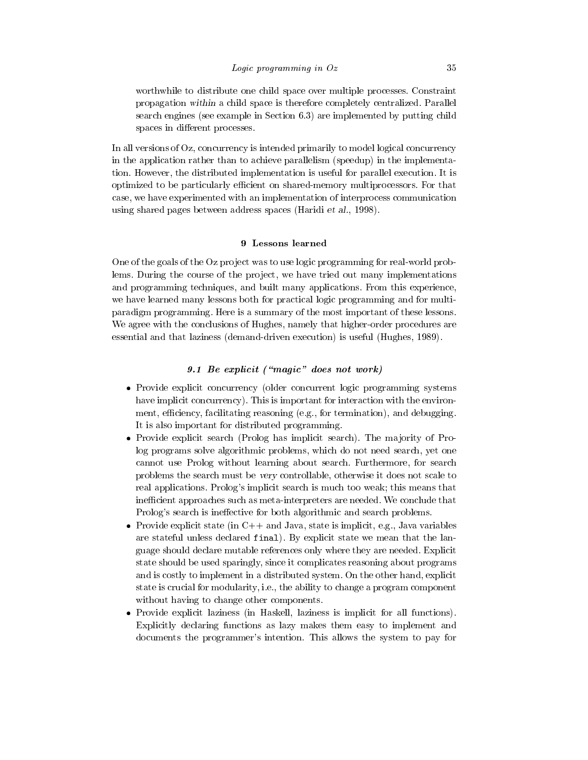worthwhile to distribute one child space over multiple processes. Constraint propagation within a child space is therefore completely centralized. Parallel search engines (see example in Section 6.3) are implemented by putting child spaces in different processes.

In all versions of Oz, concurrency is intended primarily to model logical concurrency in the application rather than to achieve parallelism (speedup) in the implementation. However, the distributed implementation is useful for parallel execution. It is optimized to be particularly ecient on shared-memory multiprocessors. For that case, we have experimented with an implementation of interprocess communication using shared pages between address spaces (Haridi et al., 1998).

# 9 Lessons learned

One of the goals of the Oz project was to use logic programming for real-world problems. During the course of the project, we have tried out many implementations and programming techniques, and built many applications. From this experience, we have learned many lessons both for practical logic programming and for multiparadigm programming. Here is a summary of the most important of these lessons. We agree with the conclusions of Hughes, namely that higher-order procedures are essential and that laziness (demand-driven execution) is useful (Hughes, 1989).

# 9.1 Be explicit ("magic" does not work)

- Provide explicit concurrency (older concurrent logic programming systems have implicit concurrency). This is important for interaction with the environment, efficiency, facilitating reasoning  $(e.g., for termination)$ , and debugging. It is also important for distributed programming.
- Provide explicit search (Prolog has implicit search). The ma jority of Prolog programs solve algorithmic problems, which do not need search, yet one cannot use Prolog without learning about search. Furthermore, for search problems the search must be very controllable, otherwise it does not scale to real applications. Prolog's implicit search is much too weak; this means that inefficient approaches such as meta-interpreters are needed. We conclude that Prolog's search is ineffective for both algorithmic and search problems.
- $\bullet$  -Provide explicit state (in C++ and Java, state is implicit, e.g., Java variables are stateful unless declared final). By explicit state we mean that the language should declare mutable references only where they are needed. Explicit state should be used sparingly, since it complicates reasoning about programs and is costly to implement in a distributed system. On the other hand, explicit state is crucial for modularity, i.e., the ability to change a program component without having to change other components.
- Provide explicit laziness (in Haskell, laziness is implicit for all functions). Explicitly declaring functions as lazy makes them easy to implement and documents the programmer's intention. This allows the system to pay for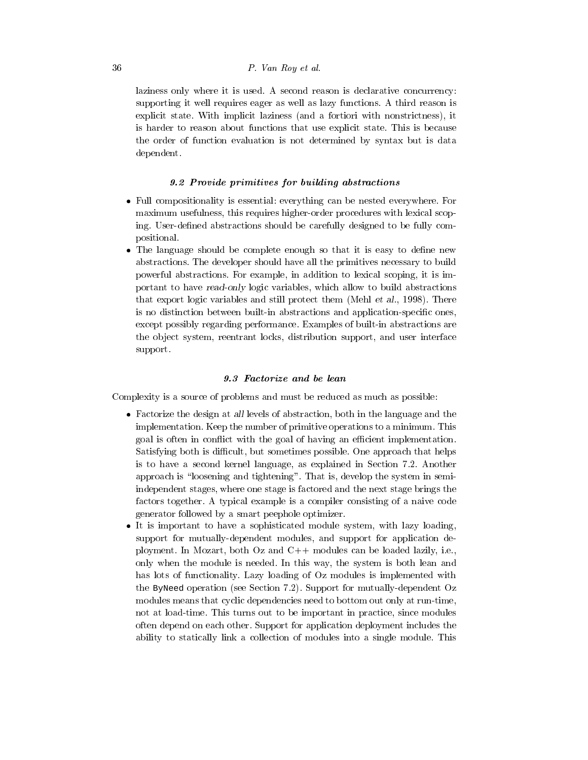#### 36 P. Van Roy et al.

laziness only where it is used. A second reason is declarative concurrency: supporting it well requires eager as well as lazy functions. A third reason is explicit state. With implicit laziness (and a fortiori with nonstrictness), it is harder to reason about functions that use explicit state. This is because the order of function evaluation is not determined by syntax but is data dependent.

#### 9.2 Provide primitives for building abstractions

- $\bullet$  Full compositionality is essential: everything can be nested everywhere. For maximum usefulness, this requires higher-order procedures with lexical scoping. User-defined abstractions should be carefully designed to be fully compositional.
- $\bullet$  lne language should be complete enough so that it is easy to define new abstractions. The developer should have all the primitives necessary to build powerful abstractions. For example, in addition to lexical scoping, it is important to have read-only logic variables, which allow to build abstractions that export logic variables and still protect them (Mehl et al., 1998). There is no distinction between built-in abstractions and application-specic ones, except possibly regarding performance. Examples of built-in abstractions are the ob ject system, reentrant locks, distribution support, and user interface support.

#### 9.3 Factorize and be lean

Complexity is a source of problems and must be reduced as much as possible:

- $\bullet$  -factorize the design at *all* levels of abstraction, both in the language and the implementation. Keep the number of primitive operations to a minimum. This goal is often in conflict with the goal of having an efficient implementation. Satisfying both is difficult, but sometimes possible. One approach that helps is to have a second kernel language, as explained in Section 7.2.Another approach is "loosening and tightening". That is, develop the system in semiindependent stages, where one stage is factored and the next stage brings the factors together. A typical example is a compiler consisting of a naive code generator followed by a smart peephole optimizer.
- $\bullet$  It is important to have a sophisticated module system, with lazy loading, support for mutually-dependent modules, and support for application deployment. In Mozart, both Oz and C++ modules can be loaded lazily, i.e., only when the module is needed. In this way, the system is both lean and has lots of functionality. Lazy loading of Oz modules is implemented with the ByNeed operation (see Section 7.2). Support for mutually-dependent Oz modules means that cyclic dependencies need to bottom out only at run-time, not at load-time. This turns out to be important in practice, since modules often depend on each other. Support for application deployment includes the ability to statically link a collection of modules into a single module. This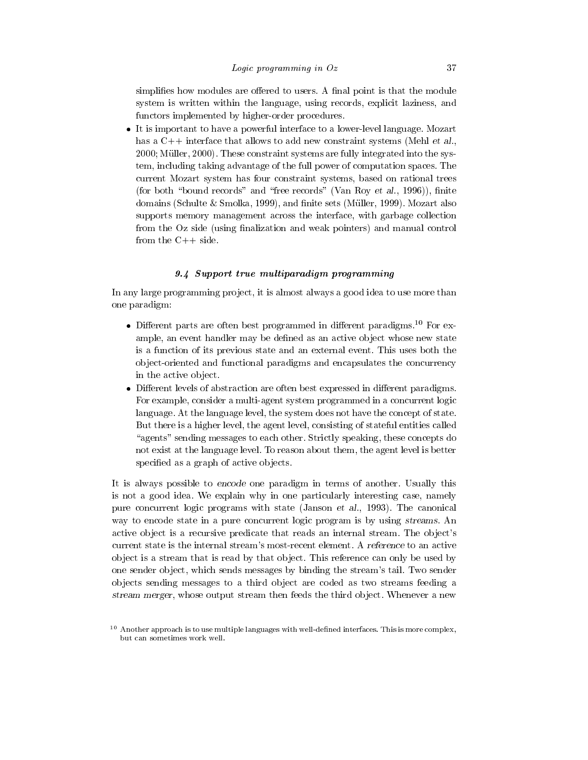simplifies how modules are offered to users. A final point is that the module system is written within the language, using records, explicit laziness, and functors implemented by higher-order procedures.

 $\bullet$  It is important to have a powerful interface to a lower-level language. Mozart has a  $C++$  interface that allows to add new constraint systems (Mehl *et al.*, 2000; Muller, 2000). These constraint systems are fully integrated into the system, including taking advantage of the full power of computation spaces. The current Mozart system has four constraint systems, based on rational trees (for both "bound records" and "free records" (Van Roy et al., 1996)), finite domains (Schulte & Smolka, 1999), and finite sets (Müller, 1999). Mozart also supports memory management across the interface, with garbage collection from the Oz side (using finalization and weak pointers) and manual control from the  $C++$  side.

# 9.4 Support true multiparadigm programming

In any large programming project, it is almost always a good idea to use more than one paradigm:

- $\bullet$  Different parts are often best programmed in different paradigms.<sup>10</sup> For example, an event handler may be defined as an active object whose new state is a function of its previous state and an external event. This uses both the ob ject-oriented and functional paradigms and encapsulates the concurrency in the active object.
- $\bullet\,$  Different levels of abstraction are often best expressed in different paradigms. For example, consider a multi-agent system programmed in a concurrent logic language. At the language level, the system does not have the concept of state. But there is a higher level, the agent level, consisting of stateful entities called "agents" sending messages to each other. Strictly speaking, these concepts do not exist at the language level. To reason about them, the agent level is better specified as a graph of active objects.

It is always possible to encode one paradigm in terms of another. Usually this is not a good idea. We explain why in one particularly interesting case, namely pure concurrent logic programs with state (Janson etal., 1993). The canonical way to encode state in a pure concurrent logic program is by using streams. An active object is a recursive predicate that reads an internal stream. The object's current state is the internal stream's most-recent element. A reference to an active ob ject is a stream that is read by that ob ject. This reference can only be used by one sender ob ject, which sends messages by binding the stream's tail. Two sender ob jects sending messages to a third ob ject are coded as two streams feeding a stream merger, whose output stream then feeds the third ob ject. Whenever a new

 $^\circ$  - Another approach is to use multiple languages with well-defined interfaces. This is more complex, but can sometimes work well.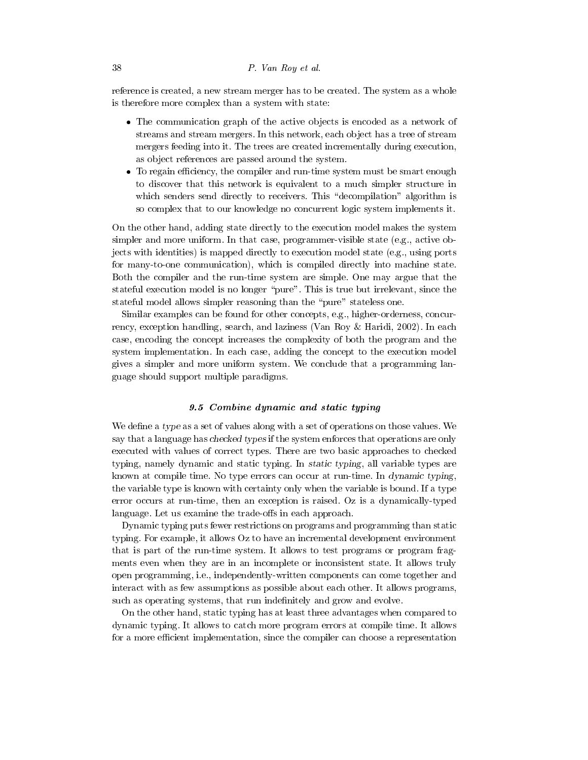reference is created, a new stream merger has to be created. The system as a whole is therefore more complex than a system with state:

- $\bullet$  The communication graph of the active objects is encoded as a network of streams and stream mergers. In this network, each object has a tree of stream mergers feeding into it. The trees are created incrementally during execution, as ob ject references are passed around the system.
- $\bullet$  To regain efficiency, the compiler and run-time system must be smart enough to discover that this network is equivalent to a much simpler structure in which senders send directly to receivers. This "decompilation" algorithm is so complex that to our knowledge no concurrent logic system implements it.

On the other hand, adding state directly to the execution model makes the system simpler and more uniform. In that case, programmer-visible state (e.g., active objects with identities) is mapped directly to execution model state (e.g., using ports for many-to-one communication), which is compiled directly into machine state. Both the compiler and the run-time system are simple. One may argue that the stateful execution model is no longer \pure". This is true but irrelevant, since the stateful model allows simpler reasoning than the "pure" stateless one.

Similar examples can be found for other concepts, e.g., higher-orderness, concurrency, exception handling, search, and laziness (Van Roy & Haridi, 2002). In each case, encoding the concept increases the complexity of both the program and the system implementation. In each case, adding the concept to the execution model gives a simpler and more uniform system. We conclude that a programming language should support multiple paradigms.

#### 9.5 Combine dynamic and static typing

We define a type as a set of values along with a set of operations on those values. We say that a language has checked types if the system enforces that operations are only executed with values of correct types. There are two basic approaches to checked typing, namely dynamic and static typing. In static typing, all variable types are known at compile time. No type errors can occur at run-time. In dynamic typing, the variable type is known with certainty only when the variable is bound. If a type error occurs at run-time, then an exception is raised. Oz is a dynamically-typed language. Let us examine the trade-offs in each approach.

Dynamic typing puts fewer restrictions on programs and programming than static typing. For example, it allows Oz to have an incremental development environment that is part of the run-time system. It allows to test programs or program fragments even when they are in an incomplete or inconsistent state. It allows truly open programming, i.e., independently-written components can come together and interact with as few assumptions as possible about each other. It allows programs, such as operating systems, that run indefinitely and grow and evolve.

On the other hand, static typing has at least three advantages when compared to dynamic typing. It allows to catch more program errors at compile time. It allows for a more efficient implementation, since the compiler can choose a representation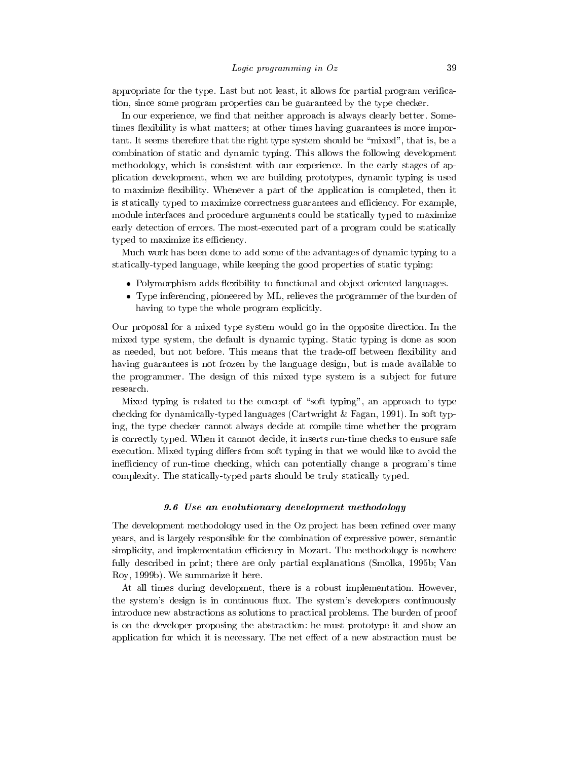appropriate for the type. Last but not least, it allows for partial program verication, since some program properties can be guaranteed by the type checker.

In our experience, we find that neither approach is always clearly better. Sometimes flexibility is what matters; at other times having guarantees is more important. It seems therefore that the right type system should be \mixed", that is, be a combination of static and dynamic typing. This allows the following development methodology, which is consistent with our experience. In the early stages of application development, when we are building prototypes, dynamic typing is used to maximize flexibility. Whenever a part of the application is completed, then it is statically typed to maximize correctness guarantees and efficiency. For example, module interfaces and procedure arguments could be statically typed to maximize early detection of errors. The most-executed part of a program could be statically typed to maximize its efficiency.

Much work has been done to add some of the advantages of dynamic typing to a statically-typed language, while keeping the good properties of static typing:

- $\bullet$  -Polymorphism adds nexibility to functional and object-oriented languages.
- $\bullet$  -type inferencing, pioneered by ML, relieves the programmer of the burden of  $\bullet$ having to type the whole program explicitly.

Our proposal for a mixed type system would go in the opposite direction. In the mixed type system, the default is dynamic typing. Static typing is done as soon as needed, but not before. This means that the trade-off between flexibility and having guarantees is not frozen by the language design, but is made available to the programmer. The design of this mixed type system is a subject for future research.

Mixed typing is related to the concept of "soft typing", an approach to type checking for dynamically-typed languages (Cartwright&Fagan, 1991). In soft typing, the type checker cannot always decide at compile time whether the program is correctly typed. When it cannot decide, it inserts run-time checks to ensure safe execution. Mixed typing differs from soft typing in that we would like to avoid the inefficiency of run-time checking, which can potentially change a program's time complexity. The statically-typed parts should be truly statically typed.

# 9.6 Use an evolutionary development methodology

The development methodology used in the Oz project has been refined over many years, and is largely responsible for the combination of expressive power, semantic simplicity, and implementation efficiency in Mozart. The methodology is nowhere fully described in print; there are only partial explanations (Smolka, 1995b; Van Roy, 1999b). We summarize it here.

At all times during development, there is a robust implementation. However, the system's design is in continuous flux. The system's developers continuously introduce new abstractions as solutions to practical problems. The burden of proof is on the developer proposing the abstraction: he must prototype it and show an application for which it is necessary. The net effect of a new abstraction must be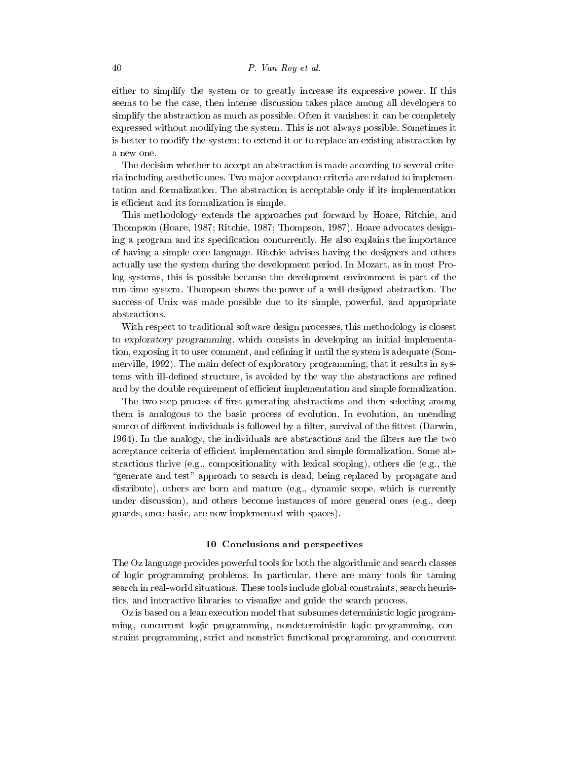# 40 P. Van Roy et al.

either to simplify the system or to greatly increase its expressive power. If this seems to be the case, then intense discussion takes place among all developers to simplify the abstraction as much as possible. Often it vanishes: it can be completely expressed without modifying the system. This is not always possible. Sometimes it is better to modify the system: to extend it or to replace an existing abstraction by a new one.

The decision whether to accept an abstraction is made according to several criteria including aesthetic ones. Two ma jor acceptance criteria are related to implementation and formalization. The abstraction is acceptable only if its implementation is efficient and its formalization is simple.

This methodology extends the approaches put forward by Hoare, Ritchie, and Thompson (Hoare, 1987; Ritchie, 1987; Thompson, 1987). Hoare advocates designing a program and its specification concurrently. He also explains the importance of having a simple core language. Ritchie advises having the designers and others actually use the system during the development period. In Mozart, as in most Prolog systems, this is possible because the development environment is part of the run-time system. Thompson shows the power of a well-designed abstraction. The success of Unix was made possible due to its simple, powerful, and appropriate abstractions.

With respect to traditional software design processes, this methodology is closest to exploratory programming, which consists in developing an initial implementation, exposing it to user comment, and refining it until the system is adequate (Sommerville, 1992). The main defect of exploratory programming, that it results in systems with ill-defined structure, is avoided by the way the abstractions are refined and by the double requirement of efficient implementation and simple formalization.

The two-step process of first generating abstractions and then selecting among them is analogous to the basic process of evolution. In evolution, an unending source of different individuals is followed by a filter, survival of the fittest (Darwin, 1964). In the analogy, the individuals are abstractions and the filters are the two acceptance criteria of efficient implementation and simple formalization. Some abstractions thrive (e.g., compositionality with lexical scoping), others die (e.g., the "generate and test" approach to search is dead, being replaced by propagate and distribute), others are born and mature (e.g., dynamic scope, which is currently under discussion), and others become instances of more general ones (e.g., deep guards, once basic, are now implemented with spaces).

#### 10 Conclusions and perspectives

The Oz language provides powerful tools for both the algorithmic and search classes of logic programming problems. In particular, there are many tools for taming search in real-world situations. These tools include global constraints, search heuristics, and interactive libraries to visualize and guide the search process.

Oz is based on a lean execution model that subsumes deterministic logic programming, concurrent logic programming, nondeterministic logic programming, constraint programming, strict and nonstrict functional programming, and concurrent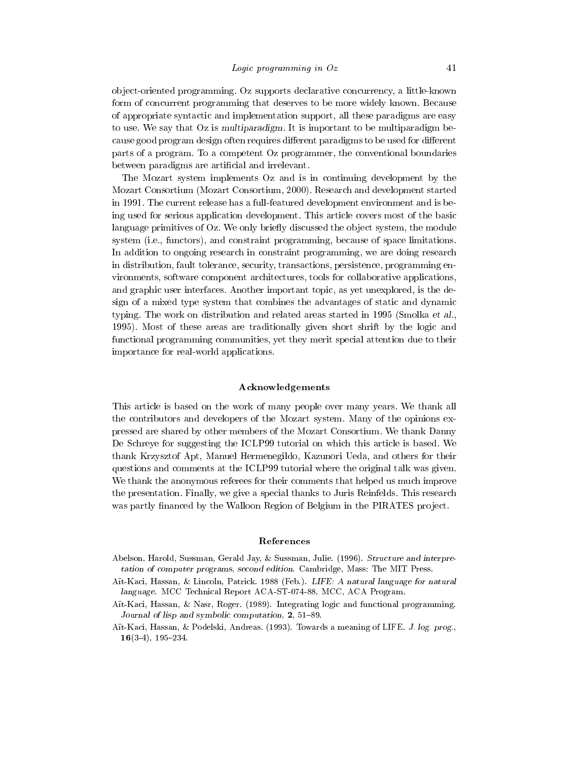ob ject-oriented programming. Oz supports declarative concurrency, a little-known form of concurrent programming that deserves to be more widely known. Because of appropriate syntactic and implementation support, all these paradigms are easy to use. We say that  $Oz$  is multiparadigm. It is important to be multiparadigm because good program design often requires different paradigms to be used for different parts of a program. To a competent Oz programmer, the conventional boundaries between paradigms are articial and irrelevant.

The Mozart system implements Oz and is in continuing development by the Mozart Consortium (Mozart Consortium, 2000). Research and development started in 1991. The current release has a full-featured development environment and is being used for serious application development. This article covers most of the basic language primitives of Oz. We only briefly discussed the object system, the module system (i.e., functors), and constraint programming, because of space limitations. In addition to ongoing research in constraint programming, we are doing research in distribution, fault tolerance, security, transactions, persistence, programming environments, software component architectures, tools for collaborative applications, and graphic user interfaces. Another important topic, as yet unexplored, is the design of a mixed type system that combines the advantages of static and dynamic typing. The work on distribution and related areas started in 1995 (Smolka et al., 1995). Most of these areas are traditionally given short shrift by the logic and functional programming communities, yet they merit special attention due to their importance for real-world applications.

#### Acknowledgements

This article is based on the work of many people over many years. We thank all the contributors and developers of the Mozart system. Many of the opinions expressed are shared by other members of the Mozart Consortium. We thank Danny De Schreye for suggesting the ICLP99 tutorial on which this article is based. We thank Krzysztof Apt, Manuel Hermenegildo, Kazunori Ueda, and others for their questions and comments at the ICLP99 tutorial where the original talk was given. We thank the anonymous referees for their comments that helped us much improve the presentation. Finally, we give a special thanks to Juris Reinfelds. This research was partly financed by the Walloon Region of Belgium in the PIRATES project.

#### References

- Abelson, Harold, Sussman, Gerald Jay, & Sussman, Julie. (1996). Structure and interpretation of computer programs, second edition. Cambridge, Mass: The MIT Press.
- Ait-Kaci, Hassan, & Lincoln, Patrick. 1988 (Feb.). LIFE: A natural language for natural language. MCC Technical Report ACA-ST-074-88. MCC, ACA Program.
- Ait-Kaci, Hassan, & Nasr, Roger. (1989). Integrating logic and functional programming. Journal of lisp and symbolic computation,  $2, 51-89$ .
- Ait-Kaci, Hassan, & Podelski, Andreas. (1993). Towards a meaning of LIFE. J. log. prog.,  $16(3-4), 195-234.$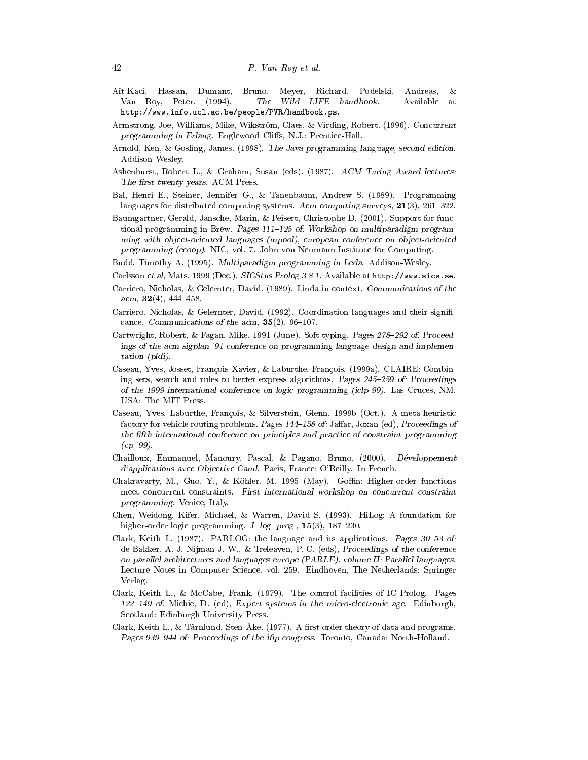- Hassan, Dumant, Bruno, Meyer, Richard, Podelski, Ait Kaci. Andreas.  $\&$ Van Roy, Peter. (1994). The Wild LIFE handbook. Available at http://www.info.ucl.ac.be/people/PVR/handbook.ps.
- Armstrong, Joe, Williams, Mike, Wikstrom, Claes, & Virding, Robert. (1996). Concurrent programming in Erlang. Englewood Cliffs, N.J.: Prentice-Hall.
- Arnold, Ken, & Gosling, James. (1998). The Java programming language, second edition. Addison Wesley.
- Ashenhurst, Robert L., & Graham, Susan (eds). (1987). ACM Turing Award lectures: The first twenty years. ACM Press.
- Bal, Henri E., Steiner, Jennifer G., & Tanenbaum, Andrew S. (1989). Programming languages for distributed computing systems. Acm computing surveys,  $21(3)$ , 261-322.
- Baumgartner, Gerald, Jansche, Marin, & Peisert, Christophe D. (2001). Support for functional programming in Brew. Pages 111-125 of: Workshop on multiparadigm programming with object-oriented languages (mpool), european conference on object-oriented programming (ecoop). NIC, vol. 7. John von Neumann Institute for Computing.
- Budd, Timothy A. (1995). Multiparadigm programming in Leda. Addison-Wesley.
- Carlsson et al, Mats. 1999 (Dec.). SICStus Prolog 3.8.1. Available at http://www.sics.se.
- Carriero, Nicholas, & Gelernter, David. (1989). Linda in context. Communications of the acm,  $32(4)$ ,  $444-458$ .
- Carriero, Nicholas, & Gelernter, David. (1992). Coordination languages and their significance. Communications of the acm,  $35(2)$ , 96-107.
- Cartwright, Robert, & Fagan, Mike. 1991 (June). Soft typing. Pages 278-292 of: Proceedings of the acm sigplan '91 conference on programming language design and implementation (pldi).
- Caseau, Yves, Josset, Francois-Xavier, & Laburthe, Francois. (1999a). CLAIRE: Combining sets, search and rules to better express algorithms. Pages  $245-259$  of: Proceedings of the 1999 international conference on logic programming (iclp 99). Las Cruces, NM, USA: The MIT Press.
- Caseau, Yves, Laburthe, Francois, & Silverstein, Glenn. 1999b (Oct.). A meta-heuristic factory for vehicle routing problems. Pages  $144-158$  of: Jaffar, Joxan (ed), Proceedings of the fth international conference on principles and practice of constraint programming  $(cp$  '99).
- Chailloux, Emmanuel, Manoury, Pascal, & Pagano, Bruno. (2000). Développement d'applications avec Objective Caml. Paris, France: O'Reilly. In French.
- Chakravarty, M., Guo, Y., & Köhler, M. 1995 (May). Goffin: Higher-order functions meet concurrent constraints. First international workshop on concurrent constraint programming. Venice, Italy.
- Chen, Weidong, Kifer, Michael, & Warren, David S. (1993). HiLog: A foundation for higher-order logic programming. J. log. prog.,  $15(3)$ ,  $187-230$ .
- Clark, Keith L.  $(1987)$ . PARLOG: the language and its applications. Pages 30-53 of: de Bakker, A. J. Nijman J. W., & Treleaven, P. C. (eds), Proceedings of the conference on parallel architectures and languages europe (PARLE). volume II: Parallel languages. Lecture Notes in Computer Science, vol. 259. Eindhoven, The Netherlands: Springer Verlag.
- Clark, Keith L., & McCabe, Frank. (1979). The control facilities of IC-Prolog. Pages  $122–149$  of: Michie, D. (ed), Expert systems in the micro-electronic age. Edinburgh, Scotland: Edinburgh University Press.
- Clark, Keith L.,  $\&$  Tärnlund, Sten-Åke. (1977). A first order theory of data and programs. Pages 939-944 of: Proceedings of the ifip congress. Toronto, Canada: North-Holland.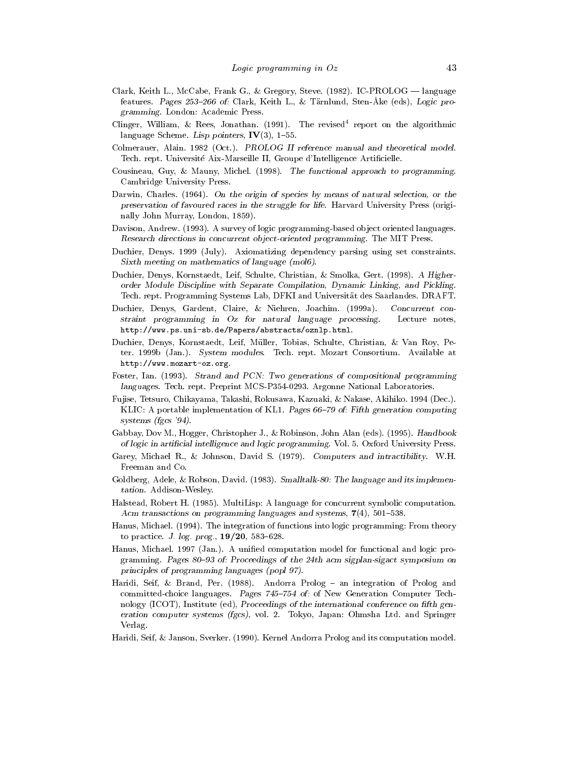- Clark, Keith L., McCabe, Frank G., & Gregory, Steve. (1982). IC-PROLOG language features. Pages 253-266 of: Clark, Keith L., & Tärnlund, Sten-Åke (eds), Logic programming. London: Academic Press.
- Clinger, William, & Rees, Jonathan. (1991). The revised4 report on the algorithmic language Scheme. Lisp pointers,  $IV(3)$ , 1-55.
- Colmerauer, Alain. 1982 (Oct.). PROLOG II reference manual and theoretical model. Tech. rept. Université Aix-Marseille II, Groupe d'Intelligence Artificielle.
- Cousineau, Guy, & Mauny, Michel. (1998). The functional approach to programming. Cambridge University Press.
- Darwin, Charles. (1964). On the origin of species by means of natural selection, or the preservation of favoured races in the struggle for life. Harvard University Press (originally John Murray, London, 1859).
- Davison, Andrew. (1993). A survey of logic programming-based ob ject oriented languages. Research directions in concurrent ob ject-oriented programming. The MIT Press.
- Duchier, Denys. 1999 (July). Axiomatizing dependency parsing using set constraints. Sixth meeting on mathematics of language (mol6).
- Duchier, Denys, Kornstaedt, Leif, Schulte, Christian, & Smolka, Gert. (1998). A Higherorder Module Discipline with Separate Compilation, Dynamic Linking, and Pickling. Tech. rept. Programming Systems Lab, DFKI and Universitat des Saarlandes. DRAFT.
- Duchier, Denys, Gardent, Claire, & Niehren, Joachim. (1999a). Concurrent con straint programming in Oz for natural language processing. Lecture notes, http://www.ps.uni-sb.de/Papers/abstracts/oznlp.html.
- Duchier, Denys, Kornstaedt, Leif, Muller, Tobias, Schulte, Christian, & Van Roy, Pe ter. 1999b (Jan.). System modules. Tech. rept. Mozart Consortium. Available at http://www.mozart-oz.org.
- Foster, Ian. (1993). Strand and PCN: Two generations of compositional programming languages. Tech. rept. Preprint MCS-P354-0293. Argonne National Laboratories.
- Fujise, Tetsuro, Chikayama, Takashi, Rokusawa, Kazuaki, & Nakase, Akihiko. 1994 (Dec.). KLIC: A portable implementation of KL1. Pages 66-79 of: Fifth generation computing systems (fgcs '94).
- Gabbay, Dov M., Hogger, Christopher J., & Robinson, John Alan (eds). (1995). Handbook of logic in articial intelligence and logic programming. Vol. 5. Oxford University Press.
- Garey, Michael R., & Johnson, David S. (1979). Computers and intractibility. W.H. Freeman and Co.
- Goldberg, Adele, & Robson, David. (1983). Smalltalk-80: The language and its implementation. Addison-Wesley.
- Halstead, Robert H. (1985). MultiLisp: A language for concurrent symbolic computation. Acm transactions on programming languages and systems,  $7(4)$ , 501-538.
- Hanus, Michael. (1994). The integration of functions into logic programming: From theory to practice. J. log. prog.,  $19/20$ ,  $583-628$ .
- Hanus, Michael. 1997 (Jan.). A unied computation model for functional and logic programming. Pages  $80-93$  of: Proceedings of the 24th acm sigplan-sigact symposium on principles of programming languages (popl 97).
- Haridi, Seif, & Brand, Per. (1988). Andorra Prolog an integration of Prolog and committed-choice languages. Pages 745-754 of: of New Generation Computer Technology (ICOT), Institute (ed), Proceedings of the international conference on fifth generation computer systems (fgcs), vol. 2. Tokyo, Japan: Ohmsha Ltd. and Springer Verlag.
- Haridi, Seif, & Janson, Sverker. (1990). Kernel Andorra Prolog and its computation model.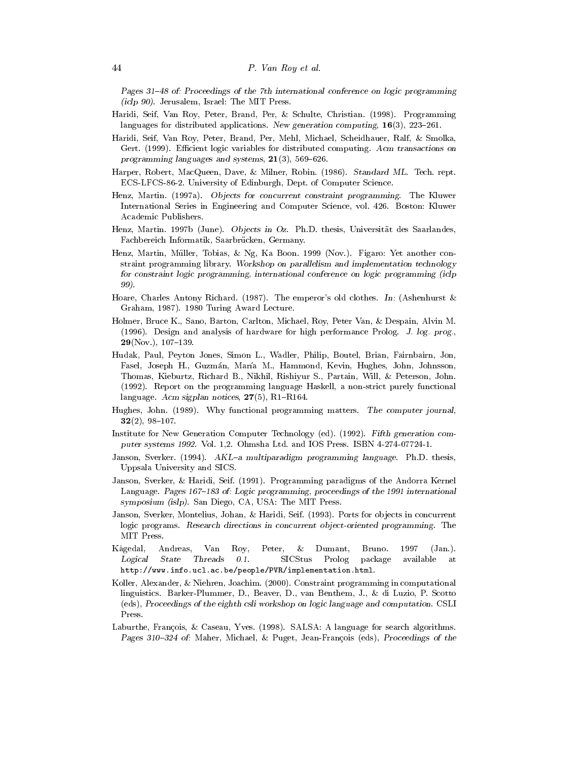Pages 31-48 of: Proceedings of the 7th international conference on logic programming (iclp 90). Jerusalem, Israel: The MIT Press.

- Haridi, Seif, Van Roy, Peter, Brand, Per, & Schulte, Christian. (1998). Programming languages for distributed applications. New generation computing,  $16(3)$ ,  $223-261$ .
- Haridi, Seif, Van Roy, Peter, Brand, Per, Mehl, Michael, Scheidhauer, Ralf, & Smolka, Gert. (1999). Efficient logic variables for distributed computing. Acm transactions on programming languages and systems,  $21(3)$ , 569-626.
- Harper, Robert, MacQueen, Dave, & Milner, Robin. (1986). Standard ML. Tech. rept. ECS-LFCS-86-2. University of Edinburgh, Dept. of Computer Science.
- Henz, Martin. (1997a). Objects for concurrent constraint programming. The Kluwer International Series in Engineering and Computer Science, vol. 426. Boston: Kluwer Academic Publishers.
- Henz, Martin. 1997b (June). Objects in Oz. Ph.D. thesis, Universität des Saarlandes. Fachbereich Informatik, Saarbrucken, Germany.
- Henz, Martin, Muller, Tobias, & Ng, Ka Boon. 1999 (Nov.). Figaro: Yet another con straint programming library. Workshop on parallelism and implementation technology for constraint logic programming, international conference on logic programming (iclp 99).
- Hoare, Charles Antony Richard. (1987). The emperor's old clothes. In: (Ashenhurst & Graham, 1987). 1980 Turing Award Lecture.
- Holmer, Bruce K., Sano, Barton, Carlton, Michael, Roy, Peter Van, & Despain, Alvin M. (1996). Design and analysis of hardware for high performance Prolog. J. log. prog.,  $29(Nov.), 107-139.$
- Hudak, Paul, Peyton Jones, Simon L., Wadler, Philip, Boutel, Brian, Fairnbairn, Jon, Fasel, Joseph H., Guzmán, María M., Hammond, Kevin, Hughes, John, Johnsson, Thomas, Kieburtz, Richard B., Nikhil, Rishiyur S., Partain, Will, & Peterson, John. (1992). Report on the programming language Haskell, a non-strict purely functional language. Acm sigplan notices,  $27(5)$ , R1-R164.
- Hughes, John. (1989). Why functional programming matters. The computer journal,  $32(2), 98-107.$
- Institute for New Generation Computer Technology (ed). (1992). Fifth generation computer systems 1992. Vol. 1,2. Ohmsha Ltd. and IOS Press. ISBN 4-274-07724-1.
- Janson, Sverker. (1994). AKL-a multiparadigm programming language. Ph.D. thesis, Uppsala University and SICS.
- Janson, Sverker, & Haridi, Seif. (1991). Programming paradigms of the Andorra Kernel Language. Pages 167-183 of: Logic programming, proceedings of the 1991 international symposium (islp). San Diego, CA, USA: The MIT Press.
- Janson, Sverker, Montelius, Johan, & Haridi, Seif. (1993). Ports for ob jects in concurrent logic programs. Research directions in concurrent object-oriented programming. The MIT Press.
- Bruno. 1997 Kagedal, Andreas, Van Roy, Peter, & Dumant, Bruno. 1997 (Jan.). Logical available at Logical State Threads 0.1. SICStus Prolog package available at http://www.info.ucl.ac.be/people/PVR/implementation.html.
- Koller, Alexander, & Niehren, Joachim. (2000). Constraint programming in computational linguistics. Barker-Plummer, D., Beaver, D., van Benthem, J., & di Luzio, P. Scotto (eds), Proceedings of the eighth csli workshop on logic language and computation. CSLI Press.
- Laburthe, Francois, & Caseau, Yves. (1998). SALSA: A language for search algorithms. Pages 310-324 of: Maher, Michael, & Puget, Jean-François (eds), Proceedings of the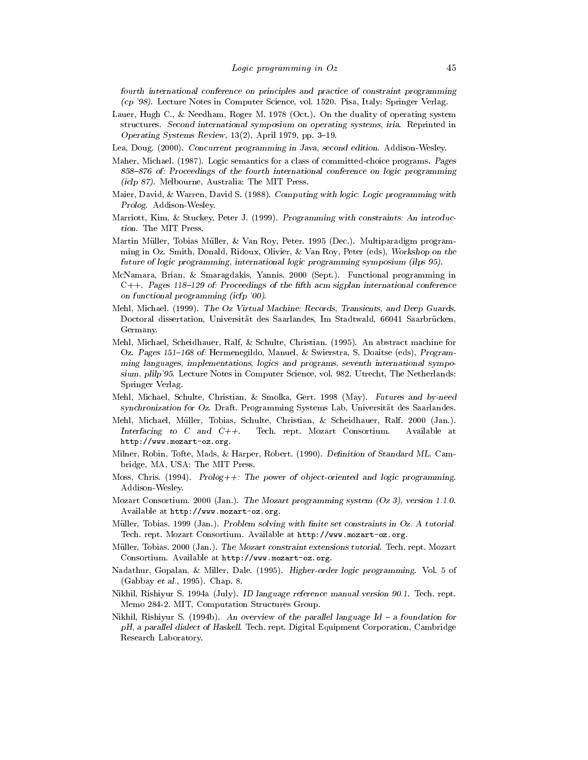fourth international conference on principles and practice of constraint programming (cp '98). Lecture Notes in Computer Science, vol. 1520. Pisa, Italy: Springer Verlag.

- Lauer, Hugh C., & Needham, Roger M. 1978 (Oct.). On the duality of operating system structures. Second international symposium on operating systems, iria. Reprinted in Operating Systems Review,  $13(2)$ , April 1979, pp. 3-19.
- Lea, Doug. (2000). Concurrent programming in Java, second edition. Addison-Wesley.
- Maher, Michael. (1987). Logic semantics for a class of committed-choice programs. Pages 858-876 of: Proceedings of the fourth international conference on logic programming (iclp 87). Melbourne, Australia: The MIT Press.
- Maier, David, & Warren, David S. (1988). Computing with logic: Logic programming with Prolog. Addison-Wesley.
- Marriott, Kim, & Stuckey, Peter J. (1999). Programming with constraints: An introduction. The MIT Press.
- Martin Muller, Tobias Muller, & Van Roy, Peter. 1995 (Dec.). Multiparadigm programming in Oz. Smith, Donald, Ridoux, Olivier, & Van Roy, Peter (eds), Workshop on the future of logic programming, international logic programming symposium (ilps 95).
- McNamara, Brian, & Smaragdakis, Yannis. 2000 (Sept.). Functional programming in  $C++$ . Pages 118-129 of: Proceedings of the fifth acm sigplan international conference on functional programming (icfp '00).
- Mehl, Michael. (1999). The Oz Virtual Machine: Records, Transients, and Deep Guards. Doctoral dissertation, Universität des Saarlandes, Im Stadtwald, 66041 Saarbrücken, Germany.
- Mehl, Michael, Scheidhauer, Ralf, & Schulte, Christian. (1995). An abstract machine for Oz. Pages 151-168 of: Hermenegildo, Manuel, & Swierstra, S. Doaitse (eds), Programming languages, implementations, logics and programs, seventh international symposium, plilp'95. Lecture Notes in Computer Science, vol. 982. Utrecht, The Netherlands: Springer Verlag.
- Mehl, Michael, Schulte, Christian, & Smolka, Gert. 1998 (May). Futures and by-need synchronization for Oz. Draft. Programming Systems Lab, Universitat des Saarlandes.
- Mehl, Michael, Muller, Tobias, Schulte, Christian, & Scheidhauer, Ralf. 2000 (Jan.). Interfacing to C and C++. Tech. rept. Mozart Consortium. Available at http://www.mozart-oz.org.
- Milner, Robin, Tofte, Mads, & Harper, Robert. (1990). Definition of Standard ML. Cambridge, MA, USA: The MIT Press.
- Moss, Chris. (1994). Prolog  $++$ : The power of object-oriented and logic programming. Addison-Wesley.
- Mozart Consortium. 2000 (Jan.). The Mozart programming system (Oz 3), version 1.1.0. Available at http://www.mozart-oz.org.
- Müller, Tobias. 1999 (Jan.). Problem solving with finite set constraints in Oz. A tutorial. Tech. rept. Mozart Consortium. Available at http://www.mozart-oz.org.
- Muller, Tobias. 2000 (Jan.). The Mozart constraint extensions tutorial. Tech. rept. Mozart Consortium. Available at http://www.mozart-oz.org.
- Nadathur, Gopalan, & Miller, Dale. (1995). Higher-order logic programming. Vol. 5 of (Gabbay et al., 1995). Chap. 8.
- Nikhil, Rishiyur S. 1994a (July). ID language reference manual version 90.1. Tech. rept. Memo 284-2. MIT, Computation Structures Group.
- Nikhil, Rishiyur S. (1994b). An overview of the parallel language  $Id a$  foundation for pH, a parallel dialect of Haskell. Tech. rept. Digital Equipment Corporation, Cambridge Research Laboratory.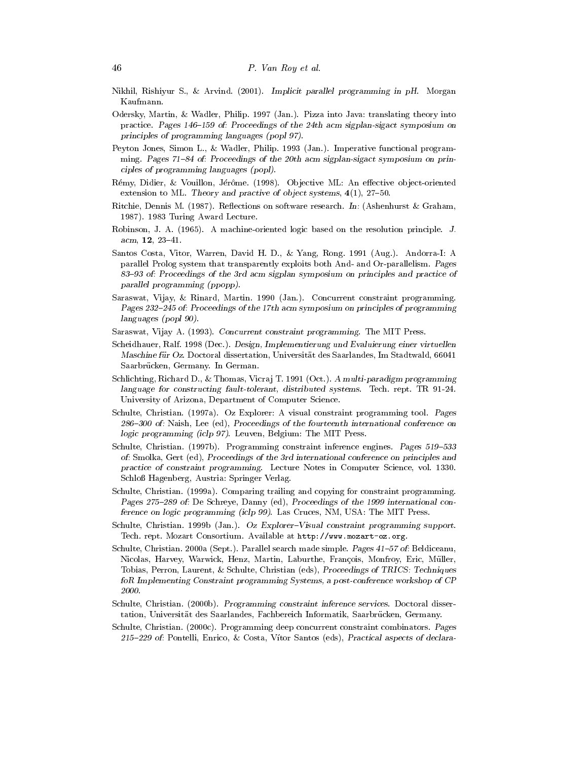- Nikhil, Rishiyur S., & Arvind. (2001). Implicit parallel programming in pH.Morgan Kaufmann.
- Odersky, Martin, & Wadler, Philip. 1997 (Jan.). Pizza into Java: translating theory into practice. Pages 146-159 of: Proceedings of the 24th acm sigplan-sigact symposium on principles of programming languages (popl 97).
- Peyton Jones, Simon L., & Wadler, Philip. 1993 (Jan.). Imperative functional programming. Pages  $71–84$  of: Proceedings of the 20th acm sigplan-sigact symposium on principles of programming languages (popl).
- Rémy, Didier, & Vouillon, Jérôme. (1998). Objective ML: An effective object-oriented extension to ML. Theory and practive of object systems,  $4(1)$ , 27-50.
- Ritchie, Dennis M. (1987). Reflections on software research. In: (Ashenhurst & Graham, 1987). 1983 Turing Award Lecture.
- Robinson, J. A. (1965). A machine-oriented logic based on the resolution principle. J. acm,  $12, 23-41.$
- Santos Costa, Vitor, Warren, David H. D., & Yang, Rong. 1991 (Aug.). Andorra-I: A parallel Prolog system that transparently exploits both And- and Or-parallelism. Pages 83-93 of: Proceedings of the 3rd acm sigplan symposium on principles and practice of parallel programming (ppopp).
- Saraswat, Vijay, & Rinard, Martin. 1990 (Jan.). Concurrent constraint programming. Pages 232-245 of: Proceedings of the 17th acm symposium on principles of programming languages (popl 90).
- Saraswat, Vijay A. (1993). Concurrent constraint programming. The MIT Press.
- Scheidhauer, Ralf. 1998 (Dec.). Design, Implementierung und Evaluierung einer virtuellen Maschine fur Oz. Doctoral dissertation, Universitat des Saarlandes, Im Stadtwald, 66041 Saarbrucken, Germany. In German.
- Schlichting, Richard D., & Thomas, Vicraj T. 1991 (Oct.). A multi-paradigm programming language for constructing fault-tolerant, distributed systems. Tech. rept. TR 91-24. University of Arizona, Department of Computer Science.
- Schulte, Christian. (1997a). Oz Explorer: A visual constraint programming tool. Pages  $286{-}300$  of: Naish, Lee (ed), Proceedings of the fourteenth international conference on logic programming (iclp 97). Leuven, Belgium: The MIT Press.
- Schulte, Christian. (1997b). Programming constraint inference engines. Pages 519-533 of: Smolka, Gert (ed), Proceedings of the 3rd international conference on principles and practice of constraint programming. Lecture Notes in Computer Science, vol. 1330. Schloß Hagenberg, Austria: Springer Verlag.
- Schulte, Christian. (1999a). Comparing trailing and copying for constraint programming. Pages 275-289 of: De Schreye, Danny (ed), Proceedings of the 1999 international conference on logic programming (iclp 99). Las Cruces, NM, USA: The MIT Press.
- Schulte, Christian. 1999b (Jan.). Oz Explorer-Visual constraint programming support. Tech. rept. Mozart Consortium. Available at http://www.mozart-oz.org.
- Schulte, Christian. 2000a (Sept.). Parallel search made simple. Pages 41-57 of: Beldiceanu, Nicolas, Harvey, Warwick, Henz, Martin, Laburthe, Francois, Monfroy, Eric, Muller, Tobias, Perron, Laurent, & Schulte, Christian (eds), Proceedings of TRICS: Techniques foR Implementing Constraint programming Systems, a post-conference workshop of CP 2000.
- Schulte, Christian. (2000b). Programming constraint inference services. Doctoral dissertation, Universitat des Saarlandes, Fachbereich Informatik, Saarbrucken, Germany.
- Schulte, Christian. (2000c). Programming deep concurrent constraint combinators. Pages 215{229 of: Pontelli, Enrico, & Costa, Vtor Santos (eds), Practical aspects of declara-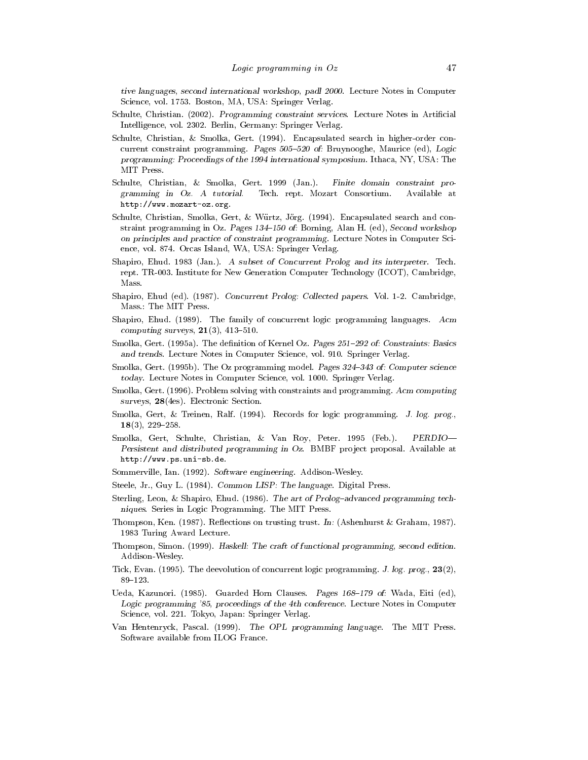tive languages, second international workshop, padl 2000. Lecture Notes in Computer Science, vol. 1753. Boston, MA, USA: Springer Verlag.

- Schulte, Christian. (2002). Programming constraint services. Lecture Notes in Artificial Intelligence, vol. 2302. Berlin, Germany: Springer Verlag.
- Schulte, Christian, & Smolka, Gert. (1994). Encapsulated search in higher-order con current constraint programming. Pages  $505{-}520$  of: Bruynooghe, Maurice (ed), Logic programming: Proceedings of the 1994 international symposium. Ithaca, NY, USA: The MIT Press.
- Schulte, Christian, & Smolka, Gert. 1999 (Jan.). Finite domain constraint programming in Oz. A tutorial. Tech. rept. Mozart Consortium. Available at http://www.mozart-oz.org.
- Schulte, Christian, Smolka, Gert, & Wurtz, Jorg. (1994). Encapsulated search and constraint programming in Oz. Pages 134-150 of: Borning, Alan H. (ed), Second workshop on principles and practice of constraint programming. Lecture Notes in Computer Science, vol. 874. Orcas Island, WA, USA: Springer Verlag.
- Shapiro, Ehud. 1983 (Jan.). A subset of Concurrent Prolog and its interpreter. Tech. rept. TR-003. Institute for New Generation Computer Technology (ICOT), Cambridge, Mass
- Shapiro, Ehud (ed). (1987). Concurrent Prolog: Collected papers. Vol. 1-2. Cambridge, Mass.: The MIT Press.
- Shapiro, Ehud. (1989). The family of concurrent logic programming languages. Acm computing surveys,  $21(3)$ ,  $413-510$ .
- Smolka, Gert. (1995a). The definition of Kernel Oz. Pages 251-292 of: Constraints: Basics and trends. Lecture Notes in Computer Science, vol. 910. Springer Verlag.
- Smolka, Gert.  $(1995b)$ . The Oz programming model. Pages 324-343 of: Computer science today. Lecture Notes in Computer Science, vol. 1000. Springer Verlag.
- Smolka, Gert. (1996). Problem solving with constraints and programming. Acm computing surveys, 28(4es). Electronic Section.
- Smolka, Gert, & Treinen, Ralf. (1994). Records for logic programming. J. log. prog.,  $18(3)$ ,  $229-258$ .
- Smolka, Gert, Schulte, Christian, & Van Roy, Peter. 1995 (Feb.). PERDIO-Persistent and distributed programming in Oz. BMBF project proposal. Available at http://www.ps.uni-sb.de.
- Sommerville, Ian. (1992). Software engineering. Addison-Wesley.
- Steele, Jr., Guy L. (1984). Common LISP: The language. Digital Press.
- Sterling, Leon, & Shapiro, Ehud. (1986). The art of Prolog-advanced programming techniques. Series in Logic Programming. The MIT Press.
- Thompson, Ken. (1987). Reflections on trusting trust. In: (Ashenhurst & Graham, 1987). 1983 Turing Award Lecture.
- Thompson, Simon. (1999). Haskell: The craft of functional programming, second edition. Addison-Wesley.
- Tick, Evan. (1995). The deevolution of concurrent logic programming. J. log. prog., 23(2),  $89 - 123$
- Ueda, Kazunori. (1985). Guarded Horn Clauses. Pages 168-179 of: Wada, Eiti (ed), Logic programming '85, proceedings of the 4th conference. Lecture Notes in Computer Science, vol. 221. Tokyo, Japan: Springer Verlag.
- Van Hentenryck, Pascal. (1999). The OPL programming language. The MIT Press. Software available from ILOG France.